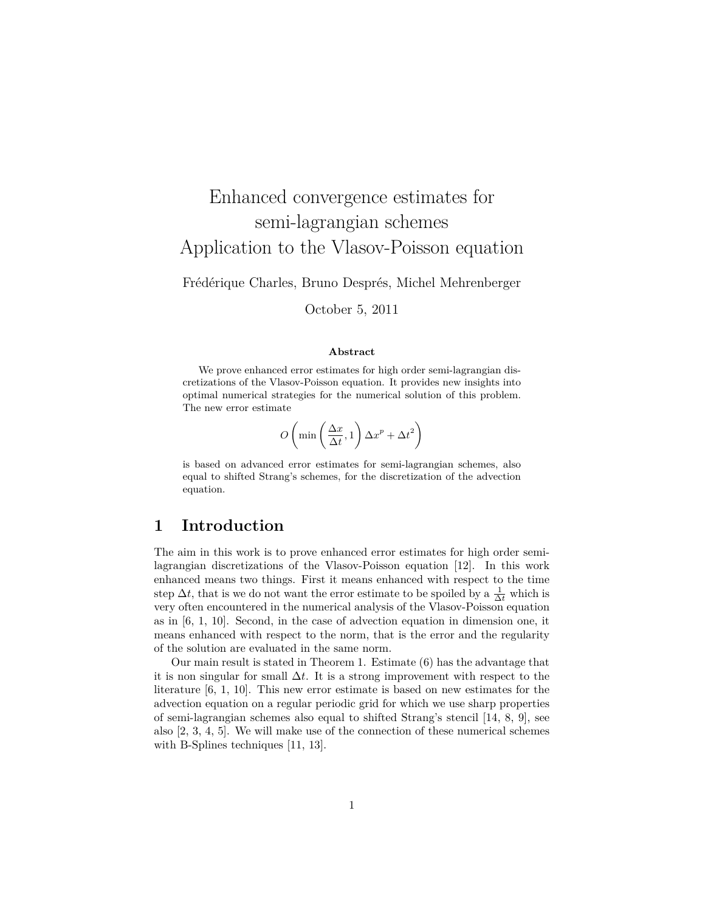# Enhanced convergence estimates for semi-lagrangian schemes Application to the Vlasov-Poisson equation

Frédérique Charles, Bruno Després, Michel Mehrenberger

October 5, 2011

#### **Abstract**

We prove enhanced error estimates for high order semi-lagrangian discretizations of the Vlasov-Poisson equation. It provides new insights into optimal numerical strategies for the numerical solution of this problem. The new error estimate

$$
O\left(\min\left(\frac{\Delta x}{\Delta t}, 1\right) \Delta x^p + \Delta t^2\right)
$$

is based on advanced error estimates for semi-lagrangian schemes, also equal to shifted Strang's schemes, for the discretization of the advection equation.

## **1 Introduction**

The aim in this work is to prove enhanced error estimates for high order semilagrangian discretizations of the Vlasov-Poisson equation [12]. In this work enhanced means two things. First it means enhanced with respect to the time step  $\Delta t$ , that is we do not want the error estimate to be spoiled by a  $\frac{1}{\Delta t}$  which is very often encountered in the numerical analysis of the Vlasov-Poisson equation as in [6, 1, 10]. Second, in the case of advection equation in dimension one, it means enhanced with respect to the norm, that is the error and the regularity of the solution are evaluated in the same norm.

Our main result is stated in Theorem 1. Estimate (6) has the advantage that it is non singular for small ∆*t*. It is a strong improvement with respect to the literature [6, 1, 10]. This new error estimate is based on new estimates for the advection equation on a regular periodic grid for which we use sharp properties of semi-lagrangian schemes also equal to shifted Strang's stencil [14, 8, 9], see also [2, 3, 4, 5]. We will make use of the connection of these numerical schemes with B-Splines techniques [11, 13].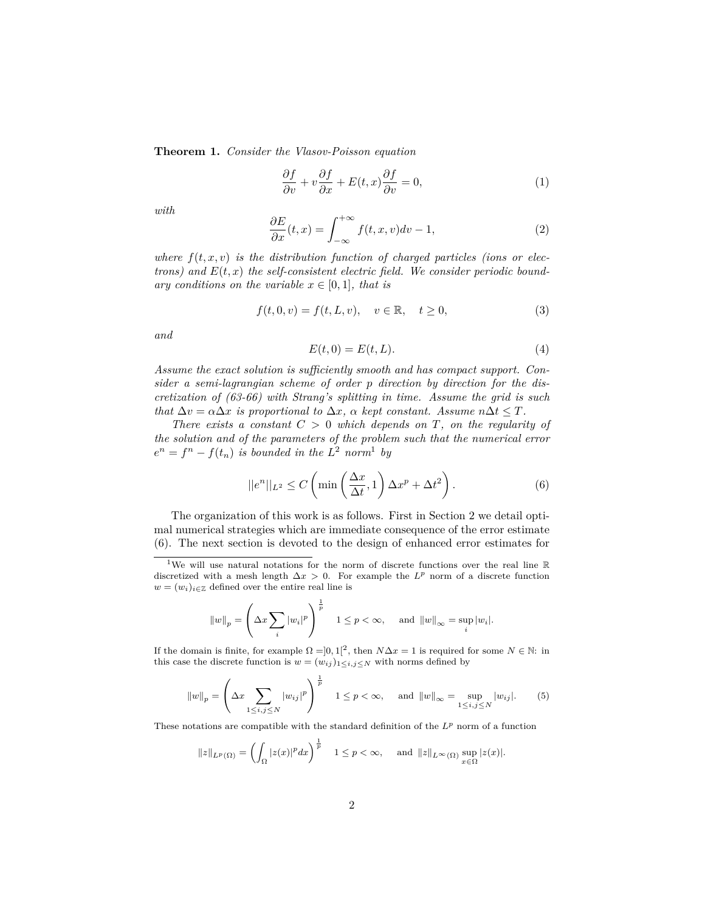**Theorem 1.** *Consider the Vlasov-Poisson equation*

$$
\frac{\partial f}{\partial v} + v \frac{\partial f}{\partial x} + E(t, x) \frac{\partial f}{\partial v} = 0,\tag{1}
$$

*with*

$$
\frac{\partial E}{\partial x}(t,x) = \int_{-\infty}^{+\infty} f(t,x,v)dv - 1,\tag{2}
$$

where  $f(t, x, v)$  is the distribution function of charged particles (ions or elec*trons)* and  $E(t, x)$  the self-consistent electric field. We consider periodic bound*ary conditions on the variable*  $x \in [0, 1]$ *, that is* 

$$
f(t,0,v) = f(t,L,v), \quad v \in \mathbb{R}, \quad t \ge 0,
$$
\n
$$
(3)
$$

*and*

$$
E(t,0) = E(t,L). \tag{4}
$$

*Assume the exact solution is sufficiently smooth and has compact support. Consider a semi-lagrangian scheme of order p direction by direction for the discretization of (63-66) with Strang's splitting in time. Assume the grid is such that*  $\Delta v = \alpha \Delta x$  *is proportional to*  $\Delta x$ *,*  $\alpha$  *kept constant. Assume*  $n \Delta t \leq T$ *.* 

*There exists a constant C >* 0 *which depends on T, on the regularity of the solution and of the parameters of the problem such that the numerical error*  $e^n = f^n - f(t_n)$  *is bounded in the*  $L^2$  *norm*<sup>1</sup> *by* 

$$
||e^n||_{L^2} \le C \left( \min\left(\frac{\Delta x}{\Delta t}, 1\right) \Delta x^p + \Delta t^2 \right). \tag{6}
$$

The organization of this work is as follows. First in Section 2 we detail optimal numerical strategies which are immediate consequence of the error estimate (6). The next section is devoted to the design of enhanced error estimates for

$$
||w||_p = \left(\Delta x \sum_i |w_i|^p\right)^{\frac{1}{p}} \quad 1 \le p < \infty, \quad \text{and } ||w||_{\infty} = \sup_i |w_i|.
$$

If the domain is finite, for example  $\Omega = ]0,1[^2$ , then  $N\Delta x = 1$  is required for some  $N \in \mathbb{N}$ : in this case the discrete function is  $w = (w_{ij})_{1 \leq i,j \leq N}$  with norms defined by

$$
||w||_p = \left(\Delta x \sum_{1 \le i,j \le N} |w_{ij}|^p\right)^{\frac{1}{p}} \quad 1 \le p < \infty, \quad \text{and } ||w||_{\infty} = \sup_{1 \le i,j \le N} |w_{ij}|. \tag{5}
$$

These notations are compatible with the standard definition of the *L<sup>p</sup>* norm of a function

$$
||z||_{L^p(\Omega)} = \left(\int_{\Omega} |z(x)|^p dx\right)^{\frac{1}{p}} \quad 1 \le p < \infty, \quad \text{ and } ||z||_{L^{\infty}(\Omega)} \sup_{x \in \Omega} |z(x)|.
$$

<sup>&</sup>lt;sup>1</sup>We will use natural notations for the norm of discrete functions over the real line  $\mathbb R$ discretized with a mesh length ∆*x >* 0. For example the *L<sup>p</sup>* norm of a discrete function  $w = (w_i)_{i \in \mathbb{Z}}$  defined over the entire real line is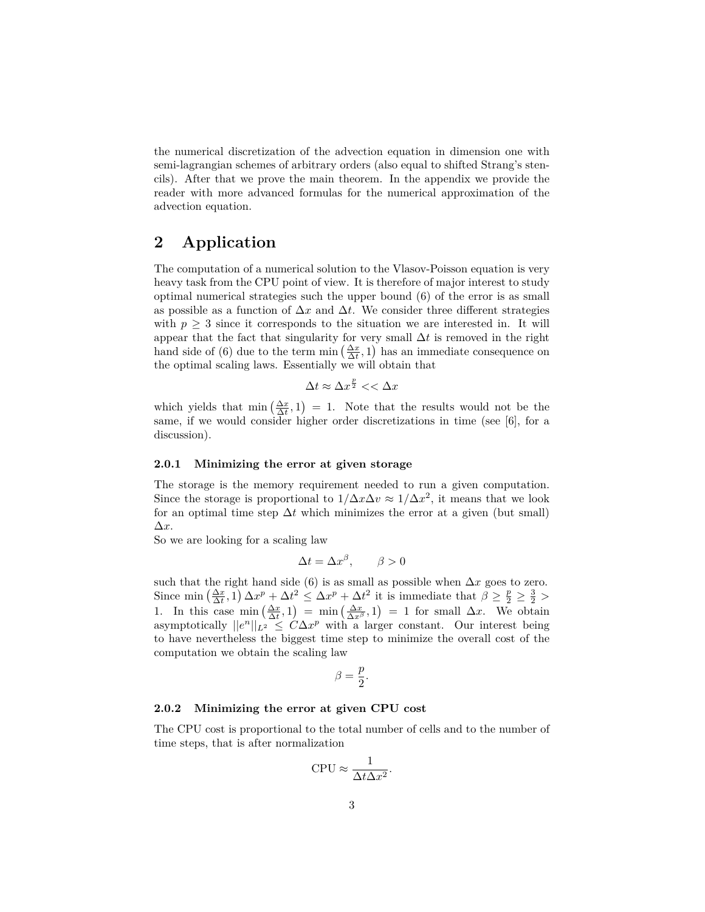the numerical discretization of the advection equation in dimension one with semi-lagrangian schemes of arbitrary orders (also equal to shifted Strang's stencils). After that we prove the main theorem. In the appendix we provide the reader with more advanced formulas for the numerical approximation of the advection equation.

## **2 Application**

The computation of a numerical solution to the Vlasov-Poisson equation is very heavy task from the CPU point of view. It is therefore of major interest to study optimal numerical strategies such the upper bound (6) of the error is as small as possible as a function of  $\Delta x$  and  $\Delta t$ . We consider three different strategies with  $p \geq 3$  since it corresponds to the situation we are interested in. It will appear that the fact that singularity for very small ∆*t* is removed in the right hand side of (6) due to the term  $\min\left(\frac{\Delta x}{\Delta t}, 1\right)$  has an immediate consequence on the optimal scaling laws. Essentially we will obtain that

$$
\Delta t \approx \Delta x^{\frac{p}{2}} << \Delta x
$$

which yields that min  $\left(\frac{\Delta x}{\Delta t}, 1\right) = 1$ . Note that the results would not be the same, if we would consider higher order discretizations in time (see [6], for a discussion).

#### **2.0.1 Minimizing the error at given storage**

The storage is the memory requirement needed to run a given computation. Since the storage is proportional to  $1/\Delta x \Delta v \approx 1/\Delta x^2$ , it means that we look for an optimal time step  $\Delta t$  which minimizes the error at a given (but small) ∆*x*.

So we are looking for a scaling law

$$
\Delta t = \Delta x^{\beta}, \qquad \beta > 0
$$

such that the right hand side (6) is as small as possible when  $\Delta x$  goes to zero. Since  $\min\left(\frac{\Delta x}{\Delta t}, 1\right) \Delta x^p + \Delta t^2 \leq \Delta x^p + \Delta t^2$  it is immediate that  $\beta \geq \frac{p}{2} \geq \frac{3}{2} >$ 1. In this case  $\min_{\Delta x} (\frac{\Delta x}{\Delta t}, 1) = \min_{\Delta x} (\frac{\Delta x}{\Delta x}) = 1$  for small  $\Delta x$ . We obtain asymptotically  $||e^n||_{L^2} \leq C\Delta x^p$  with a larger constant. Our interest being to have nevertheless the biggest time step to minimize the overall cost of the computation we obtain the scaling law

$$
\beta = \frac{p}{2}.
$$

#### **2.0.2 Minimizing the error at given CPU cost**

The CPU cost is proportional to the total number of cells and to the number of time steps, that is after normalization

$$
CPU \approx \frac{1}{\Delta t \Delta x^2}.
$$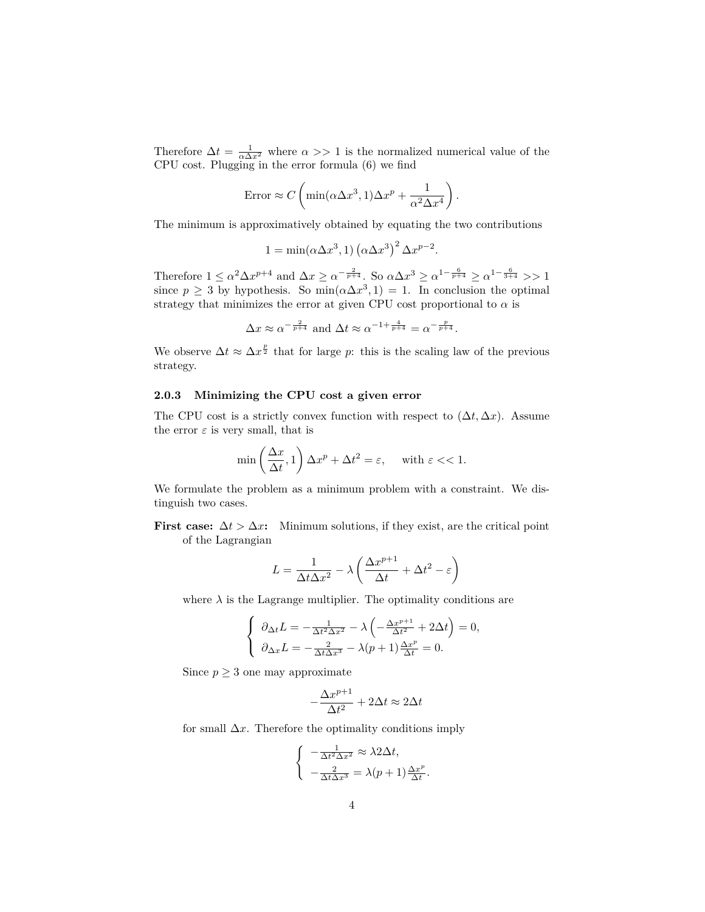Therefore  $\Delta t = \frac{1}{\alpha \Delta x^2}$  where  $\alpha >> 1$  is the normalized numerical value of the CPU cost. Plugging in the error formula (6) we find

$$
\text{Error} \approx C \left( \min(\alpha \Delta x^3, 1) \Delta x^p + \frac{1}{\alpha^2 \Delta x^4} \right).
$$

The minimum is approximatively obtained by equating the two contributions

$$
1 = \min(\alpha \Delta x^3, 1) (\alpha \Delta x^3)^2 \Delta x^{p-2}.
$$

Therefore  $1 \le \alpha^2 \Delta x^{p+4}$  and  $\Delta x \ge \alpha^{-\frac{2}{p+4}}$ . So  $\alpha \Delta x^3 \ge \alpha^{1-\frac{6}{p+4}} \ge \alpha^{1-\frac{6}{3+4}} >> 1$ since  $p \geq 3$  by hypothesis. So min $(\alpha \Delta x^3, 1) = 1$ . In conclusion the optimal strategy that minimizes the error at given CPU cost proportional to  $\alpha$  is

$$
\Delta x \approx \alpha^{-\frac{2}{p+4}}
$$
 and  $\Delta t \approx \alpha^{-1+\frac{4}{p+4}} = \alpha^{-\frac{p}{p+4}}.$ 

We observe  $\Delta t \approx \Delta x^{\frac{p}{2}}$  that for large *p*: this is the scaling law of the previous strategy.

#### **2.0.3 Minimizing the CPU cost a given error**

The CPU cost is a strictly convex function with respect to  $(\Delta t, \Delta x)$ . Assume the error  $\varepsilon$  is very small, that is

$$
\min\left(\frac{\Delta x}{\Delta t}, 1\right) \Delta x^p + \Delta t^2 = \varepsilon, \quad \text{with } \varepsilon < 1.
$$

We formulate the problem as a minimum problem with a constraint. We distinguish two cases.

**First case:**  $\Delta t > \Delta x$ : Minimum solutions, if they exist, are the critical point of the Lagrangian

$$
L = \frac{1}{\Delta t \Delta x^2} - \lambda \left( \frac{\Delta x^{p+1}}{\Delta t} + \Delta t^2 - \varepsilon \right)
$$

where  $\lambda$  is the Lagrange multiplier. The optimality conditions are

$$
\begin{cases} \n\partial_{\Delta t}L = -\frac{1}{\Delta t^2 \Delta x^2} - \lambda \left( -\frac{\Delta x^{p+1}}{\Delta t^2} + 2\Delta t \right) = 0, \\
\partial_{\Delta x}L = -\frac{2}{\Delta t \Delta x^3} - \lambda (p+1) \frac{\Delta x^p}{\Delta t} = 0. \n\end{cases}
$$

Since  $p \geq 3$  one may approximate

$$
-\frac{\Delta x^{p+1}}{\Delta t^2} + 2\Delta t \approx 2\Delta t
$$

for small  $\Delta x$ . Therefore the optimality conditions imply

$$
\begin{cases}\n-\frac{1}{\Delta t^2 \Delta x^2} \approx \lambda 2\Delta t, \\
-\frac{2}{\Delta t \Delta x^3} = \lambda (p+1) \frac{\Delta x^p}{\Delta t}\n\end{cases}
$$

*.*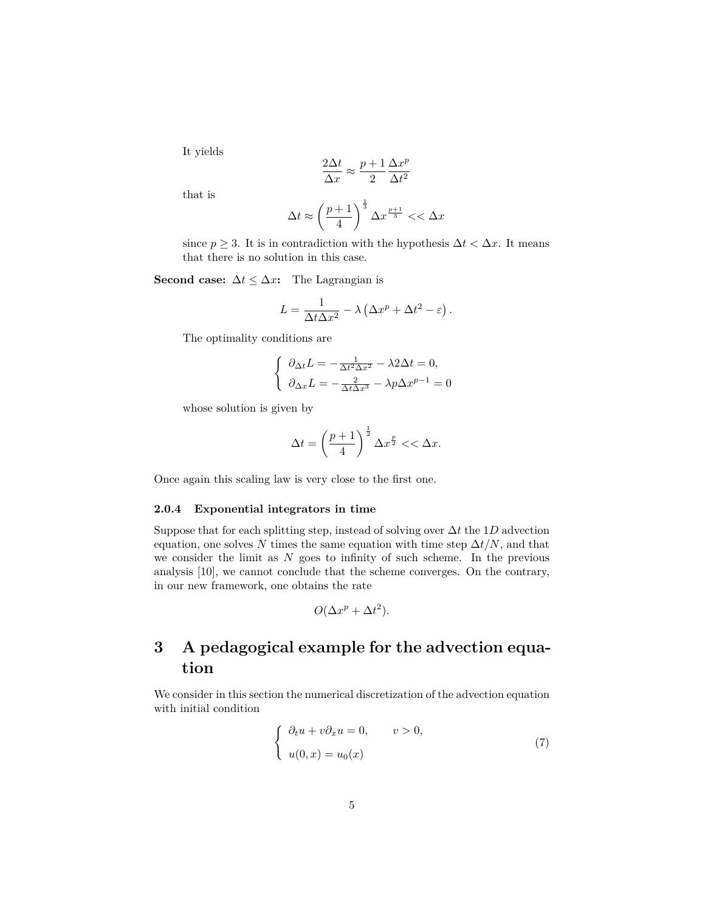It yields

$$
\frac{2\Delta t}{\Delta x} \approx \frac{p+1}{2} \frac{\Delta x^p}{\Delta t^2}
$$

that is

$$
\Delta t \approx \left(\frac{p+1}{4}\right)^{\frac{1}{3}} \Delta x^{\frac{p+1}{3}} < < \Delta x
$$

since  $p \geq 3$ . It is in contradiction with the hypothesis  $\Delta t < \Delta x$ . It means that there is no solution in this case.

**Second case:**  $\Delta t \leq \Delta x$ **:** The Lagrangian is

$$
L = \frac{1}{\Delta t \Delta x^2} - \lambda \left( \Delta x^p + \Delta t^2 - \varepsilon \right).
$$

The optimality conditions are

$$
\begin{cases} \n\partial_{\Delta t}L = -\frac{1}{\Delta t^2 \Delta x^2} - \lambda 2\Delta t = 0, \\
\partial_{\Delta x}L = -\frac{2}{\Delta t \Delta x^3} - \lambda p \Delta x^{p-1} = 0\n\end{cases}
$$

whose solution is given by

$$
\Delta t = \left(\frac{p+1}{4}\right)^{\frac{1}{2}} \Delta x^{\frac{p}{2}} << \Delta x.
$$

Once again this scaling law is very close to the first one.

#### **2.0.4 Exponential integrators in time**

Suppose that for each splitting step, instead of solving over ∆*t* the 1*D* advection equation, one solves *N* times the same equation with time step  $\Delta t/N$ , and that we consider the limit as *N* goes to infinity of such scheme. In the previous analysis [10], we cannot conclude that the scheme converges. On the contrary, in our new framework, one obtains the rate

$$
O(\Delta x^p + \Delta t^2).
$$

## **3 A pedagogical example for the advection equation**

We consider in this section the numerical discretization of the advection equation with initial condition

$$
\begin{cases}\n\partial_t u + v \partial_x u = 0, & v > 0, \\
u(0, x) = u_0(x)\n\end{cases}
$$
\n(7)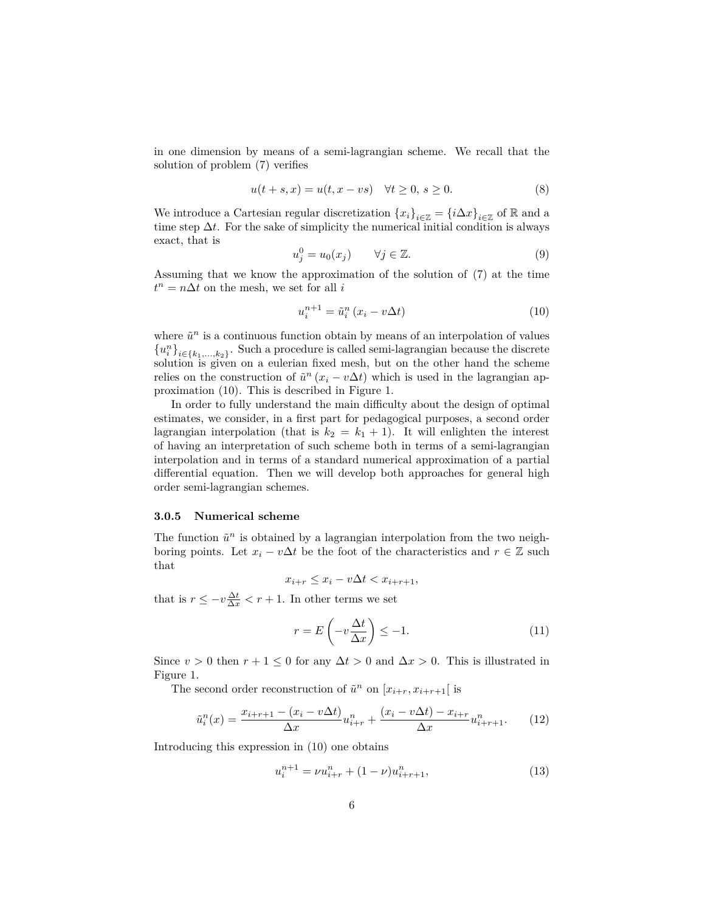in one dimension by means of a semi-lagrangian scheme. We recall that the solution of problem (7) verifies

$$
u(t+s,x) = u(t,x - vs) \quad \forall t \ge 0, s \ge 0.
$$
\n
$$
(8)
$$

We introduce a Cartesian regular discretization  ${x_i}_{i \in \mathbb{Z}} = {i \Delta x}_{i \in \mathbb{Z}}$  of R and a time step  $\Delta t$ . For the sake of simplicity the numerical initial condition is always exact, that is

$$
u_j^0 = u_0(x_j) \qquad \forall j \in \mathbb{Z}.\tag{9}
$$

Assuming that we know the approximation of the solution of (7) at the time  $t^n = n\Delta t$  on the mesh, we set for all *i* 

$$
u_i^{n+1} = \tilde{u}_i^n \left( x_i - v \Delta t \right) \tag{10}
$$

where  $\tilde{u}^n$  is a continuous function obtain by means of an interpolation of values  ${u_i^n}_{i \in \{k_1,\ldots,k_2\}}$ . Such a procedure is called semi-lagrangian because the discrete solution is given on a eulerian fixed mesh, but on the other hand the scheme relies on the construction of  $\tilde{u}^n(x_i - v\Delta t)$  which is used in the lagrangian approximation (10). This is described in Figure 1.

In order to fully understand the main difficulty about the design of optimal estimates, we consider, in a first part for pedagogical purposes, a second order lagrangian interpolation (that is  $k_2 = k_1 + 1$ ). It will enlighten the interest of having an interpretation of such scheme both in terms of a semi-lagrangian interpolation and in terms of a standard numerical approximation of a partial differential equation. Then we will develop both approaches for general high order semi-lagrangian schemes.

#### **3.0.5 Numerical scheme**

The function  $\tilde{u}^n$  is obtained by a lagrangian interpolation from the two neighboring points. Let  $x_i - v\Delta t$  be the foot of the characteristics and  $r \in \mathbb{Z}$  such that

$$
x_{i+r} \le x_i - v\Delta t < x_{i+r+1},
$$

that is  $r \leq -v \frac{\Delta t}{\Delta x} < r + 1$ . In other terms we set

$$
r = E\left(-v\frac{\Delta t}{\Delta x}\right) \le -1.
$$
\n(11)

Since  $v > 0$  then  $r + 1 \leq 0$  for any  $\Delta t > 0$  and  $\Delta x > 0$ . This is illustrated in Figure 1.

The second order reconstruction of  $\tilde{u}^n$  on  $[x_{i+r}, x_{i+r+1}]$  is

$$
\tilde{u}_i^n(x) = \frac{x_{i+r+1} - (x_i - v\Delta t)}{\Delta x} u_{i+r}^n + \frac{(x_i - v\Delta t) - x_{i+r}}{\Delta x} u_{i+r+1}^n.
$$
 (12)

Introducing this expression in (10) one obtains

$$
u_i^{n+1} = \nu u_{i+r}^n + (1 - \nu) u_{i+r+1}^n,\tag{13}
$$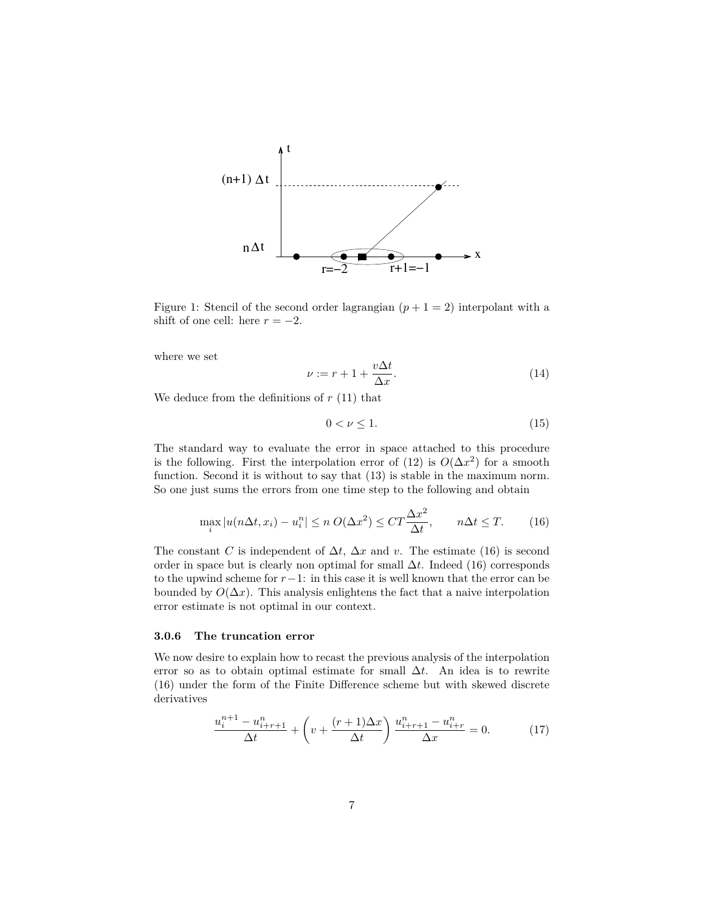

Figure 1: Stencil of the second order lagrangian  $(p+1=2)$  interpolant with a shift of one cell: here  $r = -2$ .

where we set

$$
\nu := r + 1 + \frac{v\Delta t}{\Delta x}.\tag{14}
$$

We deduce from the definitions of  $r(11)$  that

$$
0 < \nu \le 1. \tag{15}
$$

The standard way to evaluate the error in space attached to this procedure is the following. First the interpolation error of (12) is  $O(\Delta x^2)$  for a smooth function. Second it is without to say that (13) is stable in the maximum norm. So one just sums the errors from one time step to the following and obtain

$$
\max_{i} |u(n\Delta t, x_i) - u_i^n| \le n \ O(\Delta x^2) \le C T \frac{\Delta x^2}{\Delta t}, \qquad n\Delta t \le T. \tag{16}
$$

The constant *C* is independent of  $\Delta t$ ,  $\Delta x$  and *v*. The estimate (16) is second order in space but is clearly non optimal for small ∆*t*. Indeed (16) corresponds to the upwind scheme for *r*−1: in this case it is well known that the error can be bounded by  $O(\Delta x)$ . This analysis enlightens the fact that a naive interpolation error estimate is not optimal in our context.

#### **3.0.6 The truncation error**

We now desire to explain how to recast the previous analysis of the interpolation error so as to obtain optimal estimate for small ∆*t*. An idea is to rewrite (16) under the form of the Finite Difference scheme but with skewed discrete derivatives

$$
\frac{u_i^{n+1} - u_{i+r+1}^n}{\Delta t} + \left(v + \frac{(r+1)\Delta x}{\Delta t}\right) \frac{u_{i+r+1}^n - u_{i+r}^n}{\Delta x} = 0.
$$
 (17)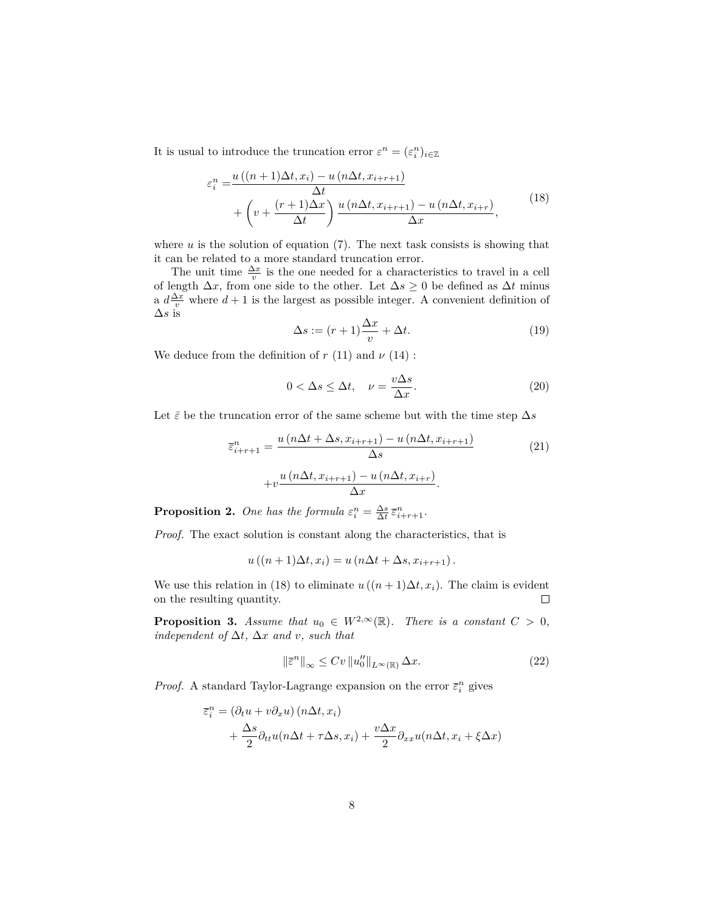It is usual to introduce the truncation error  $\varepsilon^n = (\varepsilon_i^n)_{i \in \mathbb{Z}}$ 

$$
\varepsilon_i^n = \frac{u\left((n+1)\Delta t, x_i\right) - u\left(n\Delta t, x_{i+r+1}\right)}{\Delta t} + \left(v + \frac{(r+1)\Delta x}{\Delta t}\right) \frac{u\left(n\Delta t, x_{i+r+1}\right) - u\left(n\Delta t, x_{i+r}\right)}{\Delta x},\tag{18}
$$

where  $u$  is the solution of equation  $(7)$ . The next task consists is showing that it can be related to a more standard truncation error.

The unit time  $\frac{\Delta x}{v}$  is the one needed for a characteristics to travel in a cell of length  $\Delta x$ , from one side to the other. Let  $\Delta s \geq 0$  be defined as  $\Delta t$  minus a  $d\frac{\Delta x}{v}$  where  $d+1$  is the largest as possible integer. A convenient definition of ∆*s* is

$$
\Delta s := (r+1)\frac{\Delta x}{v} + \Delta t. \tag{19}
$$

We deduce from the definition of  $r(11)$  and  $\nu(14)$ :

$$
0 < \Delta s \le \Delta t, \quad \nu = \frac{v\Delta s}{\Delta x}.\tag{20}
$$

Let  $\bar{\varepsilon}$  be the truncation error of the same scheme but with the time step  $\Delta s$ 

$$
\overline{\varepsilon}_{i+r+1}^{n} = \frac{u\left(n\Delta t + \Delta s, x_{i+r+1}\right) - u\left(n\Delta t, x_{i+r+1}\right)}{\Delta s} + v \frac{u\left(n\Delta t, x_{i+r+1}\right) - u\left(n\Delta t, x_{i+r}\right)}{\Delta x}.
$$
\n(21)

**Proposition 2.** One has the formula  $\varepsilon_i^n = \frac{\Delta s}{\Delta t} \overline{\varepsilon}_{i+r+1}^n$ .

*Proof.* The exact solution is constant along the characteristics, that is

$$
u((n+1)\Delta t, x_i) = u(n\Delta t + \Delta s, x_{i+r+1}).
$$

We use this relation in (18) to eliminate  $u((n+1)\Delta t, x_i)$ . The claim is evident on the resulting quantity.  $\Box$ 

**Proposition 3.** *Assume that*  $u_0 \in W^{2,\infty}(\mathbb{R})$ *. There is a constant*  $C > 0$ *,*  $independent of  $\Delta t$ ,  $\Delta x$  and *v*, such that$ 

$$
\left\|\bar{\varepsilon}^{n}\right\|_{\infty} \leq Cv \left\|u_{0}''\right\|_{L^{\infty}(\mathbb{R})} \Delta x.
$$
\n(22)

*Proof.* A standard Taylor-Lagrange expansion on the error  $\bar{\varepsilon}_i^n$  gives

$$
\overline{\varepsilon}_{i}^{n} = (\partial_{t} u + v \partial_{x} u) (n \Delta t, x_{i}) \n+ \frac{\Delta s}{2} \partial_{tt} u (n \Delta t + \tau \Delta s, x_{i}) + \frac{v \Delta x}{2} \partial_{xx} u (n \Delta t, x_{i} + \xi \Delta x)
$$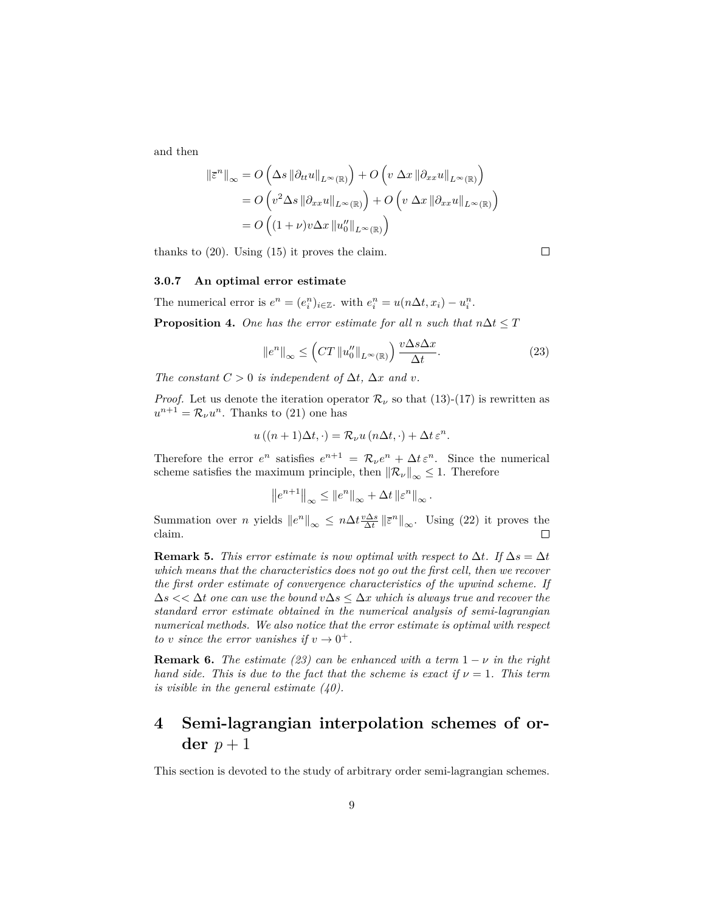and then

$$
\|\bar{\varepsilon}^{n}\|_{\infty} = O\left(\Delta s \left\|\partial_{tt} u\right\|_{L^{\infty}(\mathbb{R})}\right) + O\left(v \left\|\Delta x \left\|\partial_{xx} u\right\|_{L^{\infty}(\mathbb{R})}\right)\right)
$$

$$
= O\left(v^{2} \Delta s \left\|\partial_{xx} u\right\|_{L^{\infty}(\mathbb{R})}\right) + O\left(v \left\|\Delta x \left\|\partial_{xx} u\right\|_{L^{\infty}(\mathbb{R})}\right)\right)
$$

$$
= O\left((1 + \nu)v \Delta x \left\|u''_{0}\right\|_{L^{\infty}(\mathbb{R})}\right)
$$

thanks to (20). Using (15) it proves the claim.

#### **3.0.7 An optimal error estimate**

The numerical error is  $e^n = (e_i^n)_{i \in \mathbb{Z}}$ . with  $e_i^n = u(n\Delta t, x_i) - u_i^n$ .

**Proposition 4.** One has the error estimate for all *n* such that  $n\Delta t \leq T$ 

$$
\|e^n\|_{\infty} \le \left( CT \, \|u_0''\|_{L^{\infty}(\mathbb{R})} \right) \frac{v \Delta s \Delta x}{\Delta t}.\tag{23}
$$

*The constant*  $C > 0$  *is independent of*  $\Delta t$ *,*  $\Delta x$  *and v.* 

*Proof.* Let us denote the iteration operator  $\mathcal{R}_{\nu}$  so that (13)-(17) is rewritten as  $u^{n+1} = \mathcal{R}_{\nu} u^n$ . Thanks to (21) one has

$$
u((n+1)\Delta t, \cdot) = \mathcal{R}_{\nu}u(n\Delta t, \cdot) + \Delta t \,\varepsilon^n.
$$

Therefore the error  $e^n$  satisfies  $e^{n+1} = \mathcal{R}_\nu e^n + \Delta t e^n$ . Since the numerical scheme satisfies the maximum principle, then  $\|\mathcal{R}_\nu\|_{\infty} \leq 1$ . Therefore

$$
\left\|e^{n+1}\right\|_{\infty} \leq \left\|e^n\right\|_{\infty} + \Delta t \left\|\varepsilon^n\right\|_{\infty}.
$$

Summation over *n* yields  $||e^n||_{\infty} \leq n\Delta t \frac{v\Delta s}{\Delta t} ||\overline{\varepsilon}^n||_{\infty}$ . Using (22) it proves the claim.

**Remark 5.** *This error estimate is now optimal with respect to*  $\Delta t$ *. If*  $\Delta s = \Delta t$ *which means that the characteristics does not go out the first cell, then we recover the first order estimate of convergence characteristics of the upwind scheme. If*  $\Delta s \ll \Delta t$  *one can use the bound*  $v\Delta s \leq \Delta x$  *which is always true and recover the standard error estimate obtained in the numerical analysis of semi-lagrangian numerical methods. We also notice that the error estimate is optimal with respect to v since the error vanishes if*  $v \rightarrow 0^+$ .

**Remark 6.** *The estimate* (23) can be enhanced with a term  $1 - \nu$  in the right *hand side. This is due to the fact that the scheme is exact if*  $\nu = 1$ *. This term is visible in the general estimate (40).*

## **4 Semi-lagrangian interpolation schemes of or-** $\det p + 1$

This section is devoted to the study of arbitrary order semi-lagrangian schemes.

 $\Box$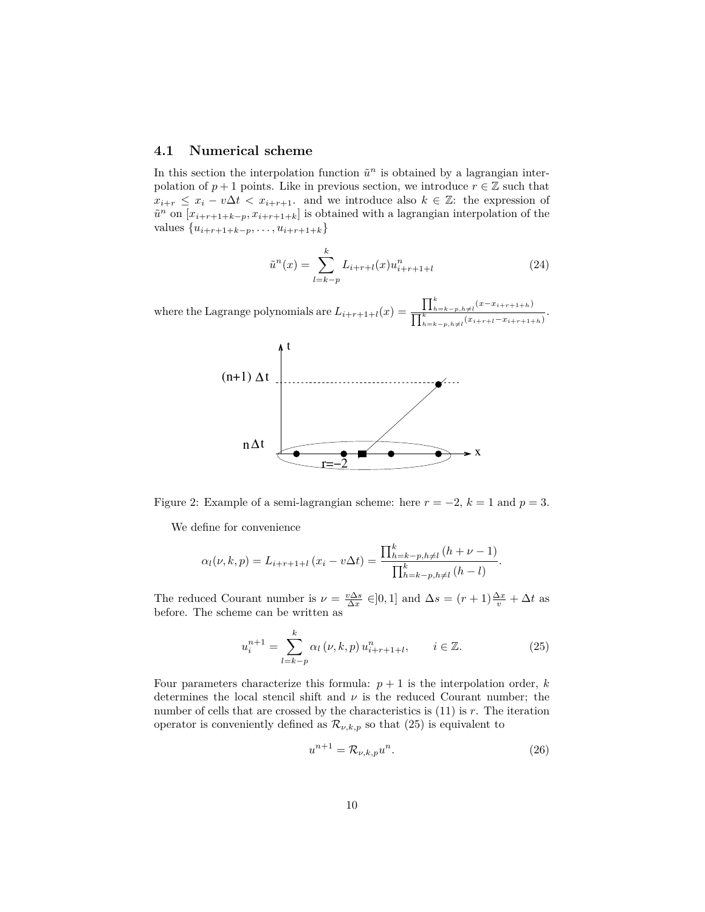### **4.1 Numerical scheme**

In this section the interpolation function  $\tilde{u}^n$  is obtained by a lagrangian interpolation of  $p + 1$  points. Like in previous section, we introduce  $r \in \mathbb{Z}$  such that  $x_{i+r} \leq x_i - v\Delta t < x_{i+r+1}$ . and we introduce also  $k \in \mathbb{Z}$ : the expression of  $\tilde{u}^n$  on  $[x_{i+r+1+k-p}, x_{i+r+1+k}]$  is obtained with a lagrangian interpolation of the  $value s \{u_{i+r+1+k-p}, \ldots, u_{i+r+1+k}\}$ 

$$
\tilde{u}^n(x) = \sum_{l=k-p}^{k} L_{i+r+l}(x) u_{i+r+1+l}^n \tag{24}
$$

where the Lagrange polynomials are  $L_{i+r+1+l}(x) =$  $\prod_{h=k-p,h\neq l}^{k}(x-x_{i+r+1+h})$  $\frac{\prod k}{\prod_{h=k-p,h\neq l}(x_{i+r+l}-x_{i+r+1+h})}$ .



Figure 2: Example of a semi-lagrangian scheme: here  $r = -2$ ,  $k = 1$  and  $p = 3$ .

We define for convenience

$$
\alpha_l(\nu, k, p) = L_{i+r+1+l} (x_i - v\Delta t) = \frac{\prod_{h=k-p, h\neq l}^k (h + \nu - 1)}{\prod_{h=k-p, h\neq l}^k (h - l)}.
$$

The reduced Courant number is  $\nu = \frac{v\Delta s}{\Delta x} \in ]0,1]$  and  $\Delta s = (r+1)\frac{\Delta x}{v} + \Delta t$  as before. The scheme can be written as

$$
u_i^{n+1} = \sum_{l=k-p}^{k} \alpha_l (\nu, k, p) u_{i+r+1+l}^n, \qquad i \in \mathbb{Z}.
$$
 (25)

Four parameters characterize this formula:  $p + 1$  is the interpolation order,  $k$ determines the local stencil shift and  $\nu$  is the reduced Courant number; the number of cells that are crossed by the characteristics is (11) is *r*. The iteration operator is conveniently defined as  $\mathcal{R}_{\nu,k,p}$  so that (25) is equivalent to

$$
u^{n+1} = \mathcal{R}_{\nu,k,p} u^n.
$$
\n<sup>(26)</sup>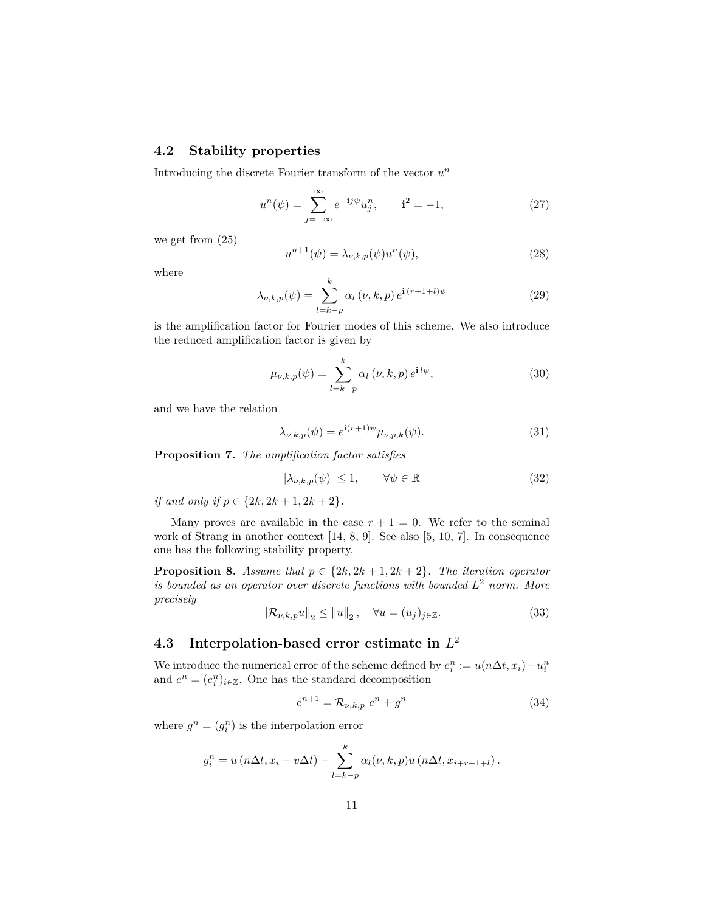## **4.2 Stability properties**

Introducing the discrete Fourier transform of the vector *u n*

$$
\bar{u}^{n}(\psi) = \sum_{j=-\infty}^{\infty} e^{-ij\psi} u_{j}^{n}, \qquad i^{2} = -1,
$$
\n(27)

we get from (25)

$$
\bar{u}^{n+1}(\psi) = \lambda_{\nu,k,p}(\psi)\bar{u}^n(\psi),\tag{28}
$$

where

$$
\lambda_{\nu,k,p}(\psi) = \sum_{l=k-p}^{k} \alpha_l(\nu,k,p) e^{\mathbf{i}\,(r+1+l)\psi} \tag{29}
$$

is the amplification factor for Fourier modes of this scheme. We also introduce the reduced amplification factor is given by

$$
\mu_{\nu,k,p}(\psi) = \sum_{l=k-p}^{k} \alpha_l(\nu,k,p) e^{\mathbf{i} \, l\psi},\tag{30}
$$

and we have the relation

$$
\lambda_{\nu,k,p}(\psi) = e^{\mathbf{i}(r+1)\psi} \mu_{\nu,p,k}(\psi). \tag{31}
$$

**Proposition 7.** *The amplification factor satisfies*

$$
|\lambda_{\nu,k,p}(\psi)| \le 1, \qquad \forall \psi \in \mathbb{R} \tag{32}
$$

*if and only if*  $p \in \{2k, 2k + 1, 2k + 2\}$ *.* 

Many proves are available in the case  $r + 1 = 0$ . We refer to the seminal work of Strang in another context [14, 8, 9]. See also [5, 10, 7]. In consequence one has the following stability property.

**Proposition 8.** *Assume that*  $p \in \{2k, 2k+1, 2k+2\}$ *. The iteration operator is bounded as an operator over discrete functions with bounded L* <sup>2</sup> *norm. More precisely*

$$
\|\mathcal{R}_{\nu,k,p}u\|_{2} \le \|u\|_{2}, \quad \forall u = (u_{j})_{j \in \mathbb{Z}}.
$$
 (33)

## **4.3 Interpolation-based error estimate in** *L* 2

We introduce the numerical error of the scheme defined by  $e_i^n := u(n\Delta t, x_i) - u_i^n$ and  $e^n = (e_i^n)_{i \in \mathbb{Z}}$ . One has the standard decomposition

$$
e^{n+1} = \mathcal{R}_{\nu,k,p} e^n + g^n \tag{34}
$$

where  $g^n = (g_i^n)$  is the interpolation error

$$
g_i^n = u\left(n\Delta t, x_i - v\Delta t\right) - \sum_{l=k-p}^k \alpha_l(\nu, k, p) u\left(n\Delta t, x_{i+r+1+l}\right).
$$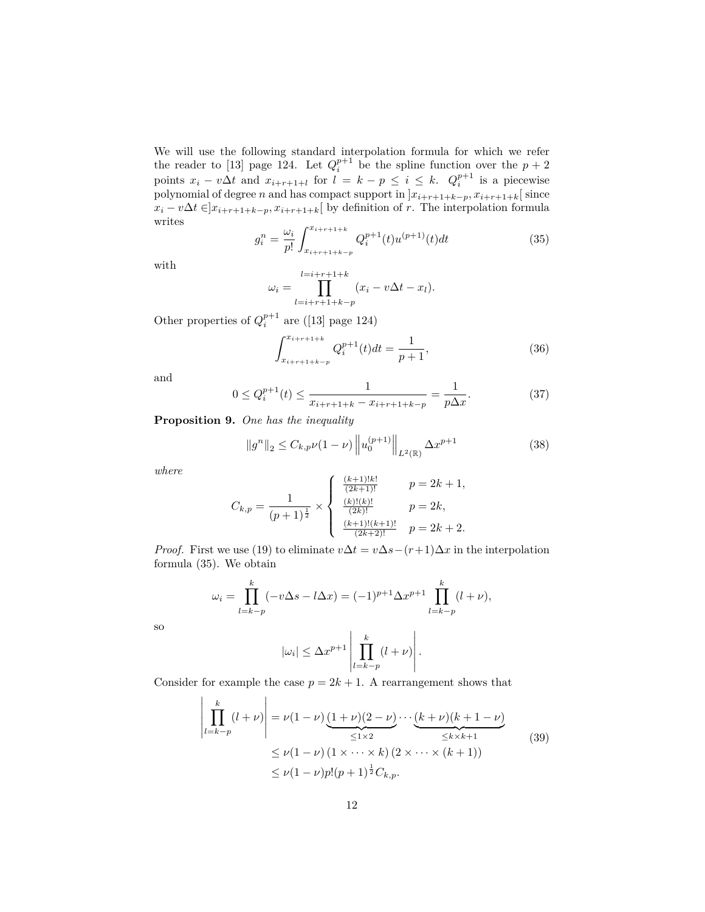We will use the following standard interpolation formula for which we refer the reader to [13] page 124. Let  $Q_i^{p+1}$  be the spline function over the  $p+2$ points  $x_i - v\Delta t$  and  $x_{i+r+1+l}$  for  $l = k - p \leq i \leq k$ .  $Q_i^{p+1}$  is a piecewise polynomial of degree *n* and has compact support in  $x_{i+r+1+k-p}, x_{i+r+1+k}$  since *x*<sup>*i*</sup> − *v*∆*t* ∈ $]x_{i+r+1+k-p}, x_{i+r+1+k}$ [ by definition of *r*. The interpolation formula writes

$$
g_i^n = \frac{\omega_i}{p!} \int_{x_{i+r+1+k-p}}^{x_{i+r+1+k}} Q_i^{p+1}(t) u^{(p+1)}(t) dt \tag{35}
$$

with

$$
\omega_i = \prod_{l=i+r+1+k-p}^{l=i+r+1+k} (x_i - v\Delta t - x_l).
$$

Other properties of  $Q_i^{p+1}$  are ([13] page 124)

$$
\int_{x_{i+r+1+k-p}}^{x_{i+r+1+k}} Q_i^{p+1}(t)dt = \frac{1}{p+1},
$$
\n(36)

and

$$
0 \le Q_i^{p+1}(t) \le \frac{1}{x_{i+r+1+k} - x_{i+r+1+k-p}} = \frac{1}{p\Delta x}.
$$
 (37)

**Proposition 9.** *One has the inequality*

$$
||g^{n}||_{2} \leq C_{k,p}\nu(1-\nu)\left||u_{0}^{(p+1)}\right||_{L^{2}(\mathbb{R})}\Delta x^{p+1}
$$
\n(38)

*where*

$$
C_{k,p} = \frac{1}{(p+1)^{\frac{1}{2}}} \times \begin{cases} \frac{(k+1)!k!}{(2k+1)!} & p = 2k+1, \\ \frac{(k)!(k)!}{(2k)!} & p = 2k, \\ \frac{(k+1)!(k+1)!}{(2k+2)!} & p = 2k+2. \end{cases}
$$

*Proof.* First we use (19) to eliminate  $v\Delta t = v\Delta s - (r+1)\Delta x$  in the interpolation formula (35). We obtain

$$
\omega_i = \prod_{l=k-p}^k (-v\Delta s - l\Delta x) = (-1)^{p+1} \Delta x^{p+1} \prod_{l=k-p}^k (l+\nu),
$$

$$
|\omega_i| \le \Delta x^{p+1} \left| \prod_{l=k-p}^k (l+\nu) \right|.
$$

so

Consider for example the case 
$$
p = 2k + 1
$$
. A rearrangement shows that

$$
\left| \prod_{l=k-p}^{k} (l+\nu) \right| = \nu(1-\nu) \underbrace{(1+\nu)(2-\nu)}_{\leq 1 \times 2} \cdots \underbrace{(k+\nu)(k+1-\nu)}_{\leq k \times k+1}
$$
\n
$$
\leq \nu(1-\nu) (1 \times \cdots \times k) (2 \times \cdots \times (k+1))
$$
\n
$$
\leq \nu(1-\nu)p!(p+1)^{\frac{1}{2}}C_{k,p}.
$$
\n(39)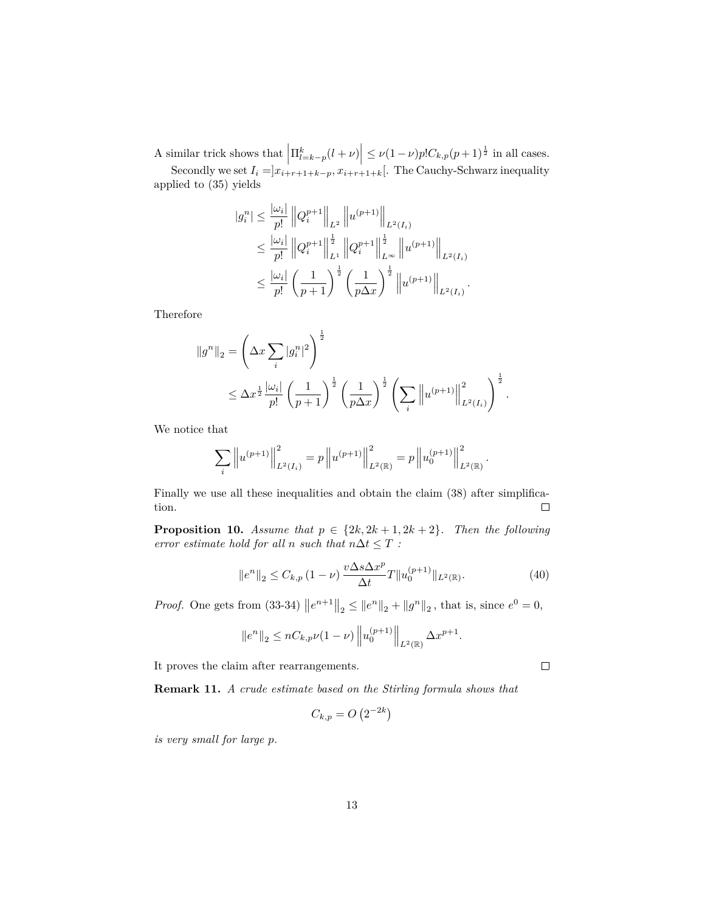A similar trick shows that  $\left| \Pi_{l=k-p}^k(l+\nu) \right| \leq \nu (1-\nu) p! C_{k,p}(p+1)^{\frac{1}{2}}$  in all cases. Secondly we set  $I_i = ]x_{i+r+1+k-p}, x_{i+r+1+k}[$ . The Cauchy-Schwarz inequality

applied to (35) yields

$$
|g_i^n| \leq \frac{|\omega_i|}{p!} \|Q_i^{p+1}\|_{L^2} \|u^{(p+1)}\|_{L^2(I_i)}
$$
  
\n
$$
\leq \frac{|\omega_i|}{p!} \|Q_i^{p+1}\|_{L^1}^{\frac{1}{2}} \|Q_i^{p+1}\|_{L^{\infty}}^{\frac{1}{2}} \|u^{(p+1)}\|_{L^2(I_i)}
$$
  
\n
$$
\leq \frac{|\omega_i|}{p!} \left(\frac{1}{p+1}\right)^{\frac{1}{2}} \left(\frac{1}{p\Delta x}\right)^{\frac{1}{2}} \|u^{(p+1)}\|_{L^2(I_i)}.
$$

Therefore

$$
||g^{n}||_{2} = \left(\Delta x \sum_{i} |g_{i}^{n}|^{2}\right)^{\frac{1}{2}}
$$
  
 
$$
\leq \Delta x^{\frac{1}{2}} \frac{|\omega_{i}|}{p!} \left(\frac{1}{p+1}\right)^{\frac{1}{2}} \left(\frac{1}{p\Delta x}\right)^{\frac{1}{2}} \left(\sum_{i} \left\|u^{(p+1)}\right\|_{L^{2}(I_{i})}^{2}\right)^{\frac{1}{2}}.
$$

We notice that

$$
\sum_i \left\|u^{(p+1)}\right\|_{L^2(I_i)}^2 = p\left\|u^{(p+1)}\right\|_{L^2(\mathbb{R})}^2 = p\left\|u_0^{(p+1)}\right\|_{L^2(\mathbb{R})}^2.
$$

Finally we use all these inequalities and obtain the claim (38) after simplification.  $\Box$ 

**Proposition 10.** *Assume that*  $p \in \{2k, 2k+1, 2k+2\}$ *. Then the following error estimate hold for all n such that*  $n\Delta t \leq T$  *:* 

$$
||e^{n}||_{2} \leq C_{k,p} (1 - \nu) \frac{v \Delta s \Delta x^{p}}{\Delta t} T ||u_{0}^{(p+1)}||_{L^{2}(\mathbb{R})}. \tag{40}
$$

*Proof.* One gets from (33-34)  $||e^{n+1}||_2 \le ||e^n||_2 + ||g^n||_2$ , that is, since  $e^0 = 0$ ,

$$
||e^n||_2 \le nC_{k,p}\nu(1-\nu) ||u_0^{(p+1)}||_{L^2(\mathbb{R})} \Delta x^{p+1}.
$$

It proves the claim after rearrangements.

**Remark 11.** *A crude estimate based on the Stirling formula shows that*

$$
C_{k,p} = O\left(2^{-2k}\right)
$$

*is very small for large p.*

 $\Box$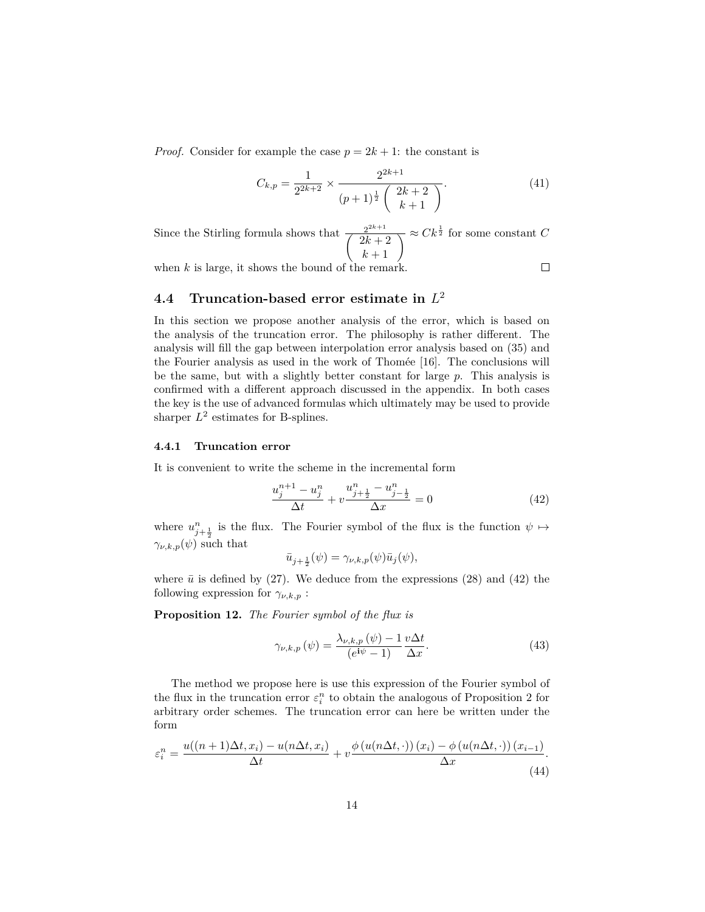*Proof.* Consider for example the case  $p = 2k + 1$ : the constant is

$$
C_{k,p} = \frac{1}{2^{2k+2}} \times \frac{2^{2k+1}}{(p+1)^{\frac{1}{2}} \binom{2k+2}{k+1}}.
$$
\n(41)

Since the Stirling formula shows that  $\frac{2^{2k+1}}{2^{k+1}}$  $\sqrt{2k+2}$  $\left(\frac{2^{2k+1}}{2k+2}\right) \approx Ck^{\frac{1}{2}}$  for some constant *C*<br> $k+1$ 

when  $k$  is large, it shows the bound of the remark.

 $\Box$ 

## **4.4 Truncation-based error estimate in** *L* 2

In this section we propose another analysis of the error, which is based on the analysis of the truncation error. The philosophy is rather different. The analysis will fill the gap between interpolation error analysis based on (35) and the Fourier analysis as used in the work of Thomée [16]. The conclusions will be the same, but with a slightly better constant for large *p*. This analysis is confirmed with a different approach discussed in the appendix. In both cases the key is the use of advanced formulas which ultimately may be used to provide sharper  $L^2$  estimates for B-splines.

#### **4.4.1 Truncation error**

It is convenient to write the scheme in the incremental form

$$
\frac{u_j^{n+1} - u_j^n}{\Delta t} + v \frac{u_{j+\frac{1}{2}}^n - u_{j-\frac{1}{2}}^n}{\Delta x} = 0
$$
\n(42)

where  $u_{j+\frac{1}{2}}^n$  is the flux. The Fourier symbol of the flux is the function  $\psi \mapsto$  $\gamma_{\nu,k,p}(\psi)$  such that

$$
\bar{u}_{j+\frac{1}{2}}(\psi) = \gamma_{\nu,k,p}(\psi)\bar{u}_j(\psi),
$$

where  $\bar{u}$  is defined by (27). We deduce from the expressions (28) and (42) the following expression for  $\gamma_{\nu,k,p}$ :

**Proposition 12.** *The Fourier symbol of the flux is*

$$
\gamma_{\nu,k,p}(\psi) = \frac{\lambda_{\nu,k,p}(\psi) - 1}{(e^{i\psi} - 1)} \frac{v\Delta t}{\Delta x}.
$$
\n(43)

The method we propose here is use this expression of the Fourier symbol of the flux in the truncation error  $\varepsilon_i^n$  to obtain the analogous of Proposition 2 for arbitrary order schemes. The truncation error can here be written under the form

$$
\varepsilon_i^n = \frac{u((n+1)\Delta t, x_i) - u(n\Delta t, x_i)}{\Delta t} + v \frac{\phi(u(n\Delta t, \cdot))(x_i) - \phi(u(n\Delta t, \cdot))(x_{i-1})}{\Delta x}.
$$
\n(44)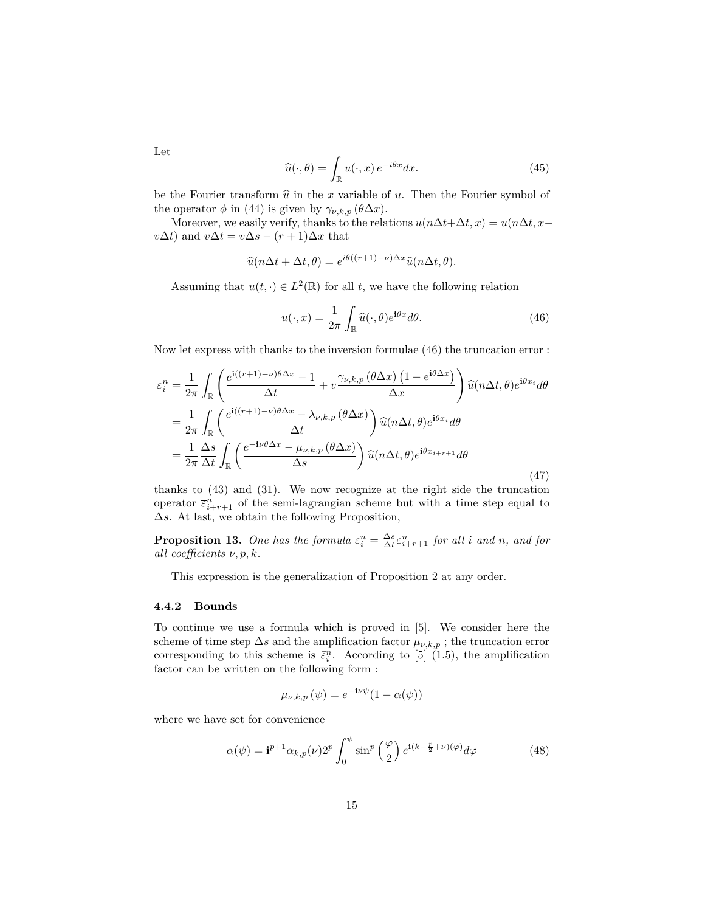$$
\widehat{u}(\cdot,\theta) = \int_{\mathbb{R}} u(\cdot,x) e^{-i\theta x} dx.
$$
\n(45)

be the Fourier transform  $\hat{u}$  in the *x* variable of *u*. Then the Fourier symbol of the operator  $\phi$  in (44) is given by  $\gamma_{\nu,k,p}(\theta \Delta x)$ .

Moreover, we easily verify, thanks to the relations  $u(n\Delta t + \Delta t, x) = u(n\Delta t, x$  $v\Delta t$ ) and  $v\Delta t = v\Delta s - (r+1)\Delta x$  that

$$
\widehat{u}(n\Delta t + \Delta t, \theta) = e^{i\theta((r+1)-\nu)\Delta x} \widehat{u}(n\Delta t, \theta).
$$

Assuming that  $u(t, \cdot) \in L^2(\mathbb{R})$  for all *t*, we have the following relation

$$
u(\cdot, x) = \frac{1}{2\pi} \int_{\mathbb{R}} \widehat{u}(\cdot, \theta) e^{i\theta x} d\theta.
$$
 (46)

Now let express with thanks to the inversion formulae (46) the truncation error :

$$
\varepsilon_i^n = \frac{1}{2\pi} \int_{\mathbb{R}} \left( \frac{e^{i((r+1)-\nu)\theta \Delta x} - 1}{\Delta t} + v \frac{\gamma_{\nu,k,p} (\theta \Delta x) (1 - e^{i\theta \Delta x})}{\Delta x} \right) \widehat{u}(n\Delta t, \theta) e^{i\theta x_i} d\theta
$$

$$
= \frac{1}{2\pi} \int_{\mathbb{R}} \left( \frac{e^{i((r+1)-\nu)\theta \Delta x} - \lambda_{\nu,k,p} (\theta \Delta x)}{\Delta t} \right) \widehat{u}(n\Delta t, \theta) e^{i\theta x_i} d\theta
$$

$$
= \frac{1}{2\pi} \frac{\Delta s}{\Delta t} \int_{\mathbb{R}} \left( \frac{e^{-i\nu\theta \Delta x} - \mu_{\nu,k,p} (\theta \Delta x)}{\Delta s} \right) \widehat{u}(n\Delta t, \theta) e^{i\theta x_{i+r+1}} d\theta
$$
(47)

thanks to (43) and (31). We now recognize at the right side the truncation operator  $\bar{\varepsilon}_{i+r+1}^n$  of the semi-lagrangian scheme but with a time step equal to ∆*s*. At last, we obtain the following Proposition,

**Proposition 13.** One has the formula  $\varepsilon_i^n = \frac{\Delta s}{\Delta t} \overline{\varepsilon}_{i+r+1}^n$  for all *i* and *n*, and for *all coefficients ν, p, k.*

This expression is the generalization of Proposition 2 at any order.

#### **4.4.2 Bounds**

To continue we use a formula which is proved in [5]. We consider here the scheme of time step  $\Delta s$  and the amplification factor  $\mu_{\nu,k,p}$ ; the truncation error corresponding to this scheme is  $\bar{\varepsilon}_i^n$ . According to [5] (1.5), the amplification factor can be written on the following form :

$$
\mu_{\nu,k,p}(\psi) = e^{-\mathbf{i}\nu\psi}(1 - \alpha(\psi))
$$

where we have set for convenience

$$
\alpha(\psi) = \mathbf{i}^{p+1} \alpha_{k,p}(\nu) 2^p \int_0^{\psi} \sin^p \left(\frac{\varphi}{2}\right) e^{\mathbf{i}(k - \frac{p}{2} + \nu)(\varphi)} d\varphi \tag{48}
$$

Let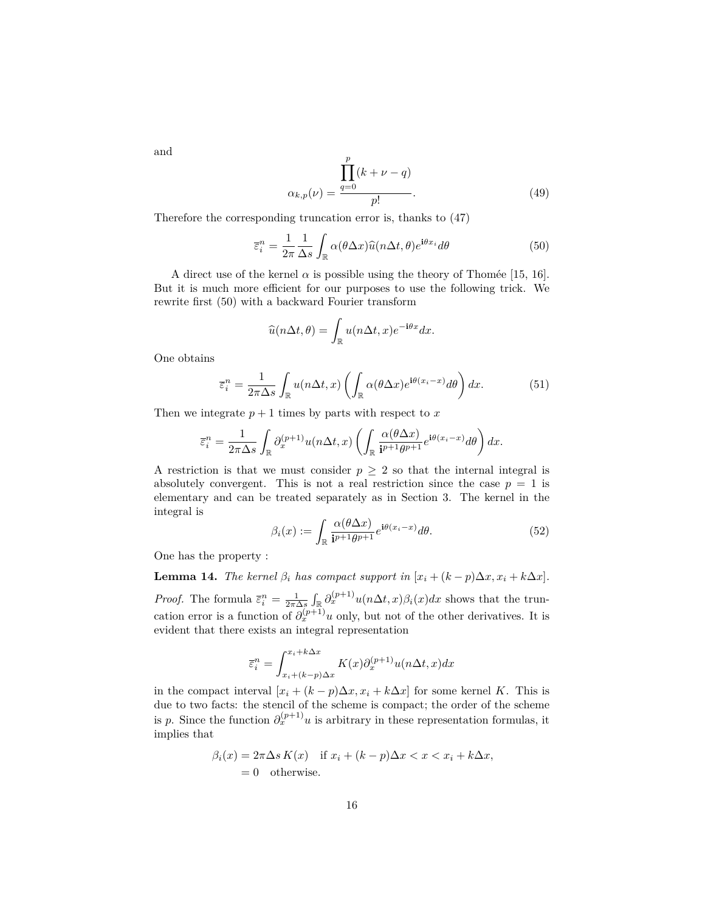and

$$
\alpha_{k,p}(\nu) = \frac{\prod_{q=0}^{p} (k + \nu - q)}{p!}.
$$
\n(49)

Therefore the corresponding truncation error is, thanks to (47)

$$
\overline{\varepsilon}_i^n = \frac{1}{2\pi} \frac{1}{\Delta s} \int_{\mathbb{R}} \alpha(\theta \Delta x) \widehat{u}(n\Delta t, \theta) e^{i\theta x_i} d\theta \tag{50}
$$

A direct use of the kernel  $\alpha$  is possible using the theory of Thomée [15, 16]. But it is much more efficient for our purposes to use the following trick. We rewrite first (50) with a backward Fourier transform

$$
\widehat{u}(n\Delta t, \theta) = \int_{\mathbb{R}} u(n\Delta t, x) e^{-i\theta x} dx.
$$

One obtains

$$
\overline{\varepsilon}_i^n = \frac{1}{2\pi\Delta s} \int_{\mathbb{R}} u(n\Delta t, x) \left( \int_{\mathbb{R}} \alpha(\theta \Delta x) e^{i\theta(x_i - x)} d\theta \right) dx.
$$
 (51)

Then we integrate  $p+1$  times by parts with respect to  $x$ 

$$
\overline{\varepsilon}_i^n = \frac{1}{2\pi\Delta s} \int_{\mathbb{R}} \partial_x^{(p+1)} u(n\Delta t, x) \left( \int_{\mathbb{R}} \frac{\alpha(\theta \Delta x)}{i^{p+1}\theta^{p+1}} e^{i\theta(x_i - x)} d\theta \right) dx.
$$

A restriction is that we must consider  $p \geq 2$  so that the internal integral is absolutely convergent. This is not a real restriction since the case  $p = 1$  is elementary and can be treated separately as in Section 3. The kernel in the integral is

$$
\beta_i(x) := \int_{\mathbb{R}} \frac{\alpha(\theta \Delta x)}{i^{p+1}\theta^{p+1}} e^{i\theta(x_i - x)} d\theta.
$$
 (52)

One has the property :

**Lemma 14.** *The kernel*  $\beta_i$  *has compact support in*  $[x_i + (k - p)\Delta x, x_i + k\Delta x]$ *. Proof.* The formula  $\bar{\epsilon}_i^n = \frac{1}{2\pi\Delta s} \int_{\mathbb{R}} \partial_x^{(p+1)} u(n\Delta t, x) \beta_i(x) dx$  shows that the truncation error is a function of  $\partial_x^{(p+1)} u$  only, but not of the other derivatives. It is evident that there exists an integral representation

$$
\overline{\varepsilon}_{i}^{n} = \int_{x_{i}+(k-p)\Delta x}^{x_{i}+k\Delta x} K(x)\partial_{x}^{(p+1)}u(n\Delta t, x)dx
$$

in the compact interval  $[x_i + (k - p)\Delta x, x_i + k\Delta x]$  for some kernel *K*. This is due to two facts: the stencil of the scheme is compact; the order of the scheme is *p*. Since the function  $\partial_x^{(p+1)} u$  is arbitrary in these representation formulas, it implies that

$$
\beta_i(x) = 2\pi \Delta s K(x) \quad \text{if } x_i + (k - p)\Delta x < x < x_i + k\Delta x,
$$
\n
$$
= 0 \quad \text{otherwise.}
$$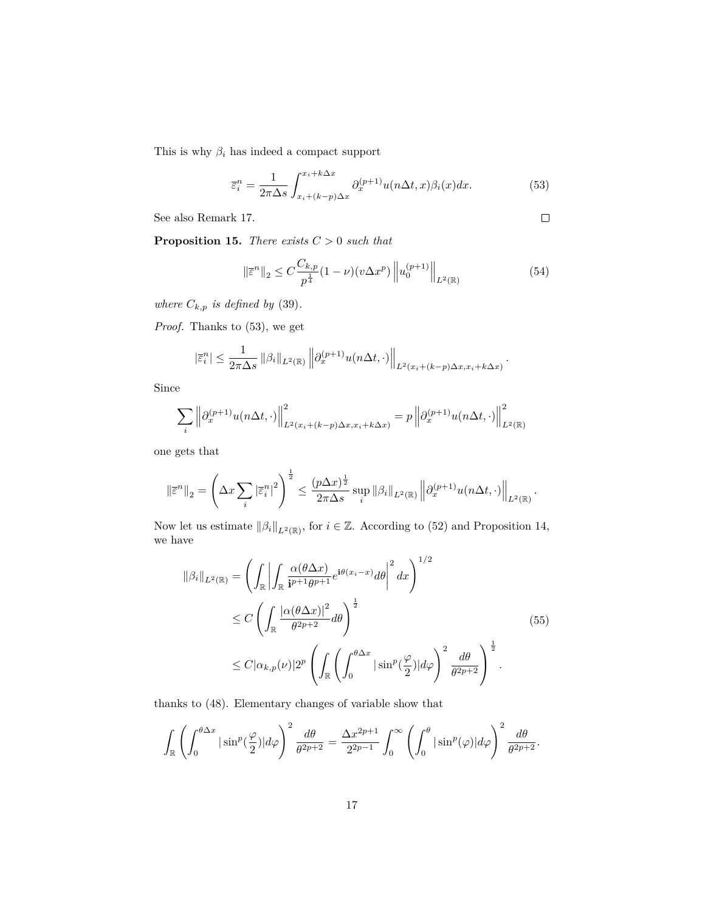This is why  $\beta_i$  has indeed a compact support

$$
\overline{\varepsilon}_i^n = \frac{1}{2\pi\Delta s} \int_{x_i + (k-p)\Delta x}^{x_i + k\Delta x} \partial_x^{(p+1)} u(n\Delta t, x) \beta_i(x) dx.
$$
 (53)

See also Remark 17.

 $\hfill \square$ 

*.*

*.*

**Proposition 15.** *There exists C >* 0 *such that*

$$
\|\bar{\varepsilon}^{n}\|_{2} \leq C \frac{C_{k,p}}{p^{\frac{1}{4}}}(1-\nu)(v\Delta x^{p})\left\|u_{0}^{(p+1)}\right\|_{L^{2}(\mathbb{R})}
$$
(54)

*where*  $C_{k,p}$  *is defined by* (39).

*Proof.* Thanks to (53), we get

$$
|\bar{\varepsilon}_i^n| \le \frac{1}{2\pi\Delta s} \left\|\beta_i\right\|_{L^2(\mathbb{R})} \left\|\partial_x^{(p+1)} u(n\Delta t, \cdot)\right\|_{L^2(x_i + (k-p)\Delta x, x_i + k\Delta x)}
$$

Since

$$
\sum_{i} \left\| \partial_x^{(p+1)} u(n\Delta t, \cdot) \right\|_{L^2(x_i + (k-p)\Delta x, x_i + k\Delta x)}^2 = p \left\| \partial_x^{(p+1)} u(n\Delta t, \cdot) \right\|_{L^2(\mathbb{R})}^2
$$

one gets that

$$
\left\|\bar{\varepsilon}^{n}\right\|_{2} = \left(\Delta x \sum_{i} \left|\bar{\varepsilon}_{i}^{n}\right|^{2}\right)^{\frac{1}{2}} \leq \frac{(p\Delta x)^{\frac{1}{2}}}{2\pi\Delta s} \sup_{i} \left\|\beta_{i}\right\|_{L^{2}(\mathbb{R})} \left\|\partial_{x}^{(p+1)} u(n\Delta t, \cdot)\right\|_{L^{2}(\mathbb{R})}
$$

Now let us estimate  $\|\beta_i\|_{L^2(\mathbb{R})}$ , for  $i \in \mathbb{Z}$ . According to (52) and Proposition 14, we have

$$
\|\beta_i\|_{L^2(\mathbb{R})} = \left(\int_{\mathbb{R}} \left| \int_{\mathbb{R}} \frac{\alpha(\theta \Delta x)}{i^{p+1}\theta^{p+1}} e^{i\theta(x_i - x)} d\theta \right|^2 dx\right)^{1/2}
$$
  
\n
$$
\leq C \left(\int_{\mathbb{R}} \frac{|\alpha(\theta \Delta x)|^2}{\theta^{2p+2}} d\theta \right)^{\frac{1}{2}}
$$
  
\n
$$
\leq C |\alpha_{k,p}(\nu)| 2^p \left(\int_{\mathbb{R}} \left(\int_0^{\theta \Delta x} |\sin^p(\frac{\varphi}{2})| d\varphi \right)^2 \frac{d\theta}{\theta^{2p+2}}\right)^{\frac{1}{2}}.
$$
\n(55)

thanks to (48). Elementary changes of variable show that

$$
\int_{\mathbb{R}} \left( \int_0^{\theta \Delta x} |\sin^p(\frac{\varphi}{2})| d\varphi \right)^2 \frac{d\theta}{\theta^{2p+2}} = \frac{\Delta x^{2p+1}}{2^{2p-1}} \int_0^\infty \left( \int_0^{\theta} |\sin^p(\varphi)| d\varphi \right)^2 \frac{d\theta}{\theta^{2p+2}}.
$$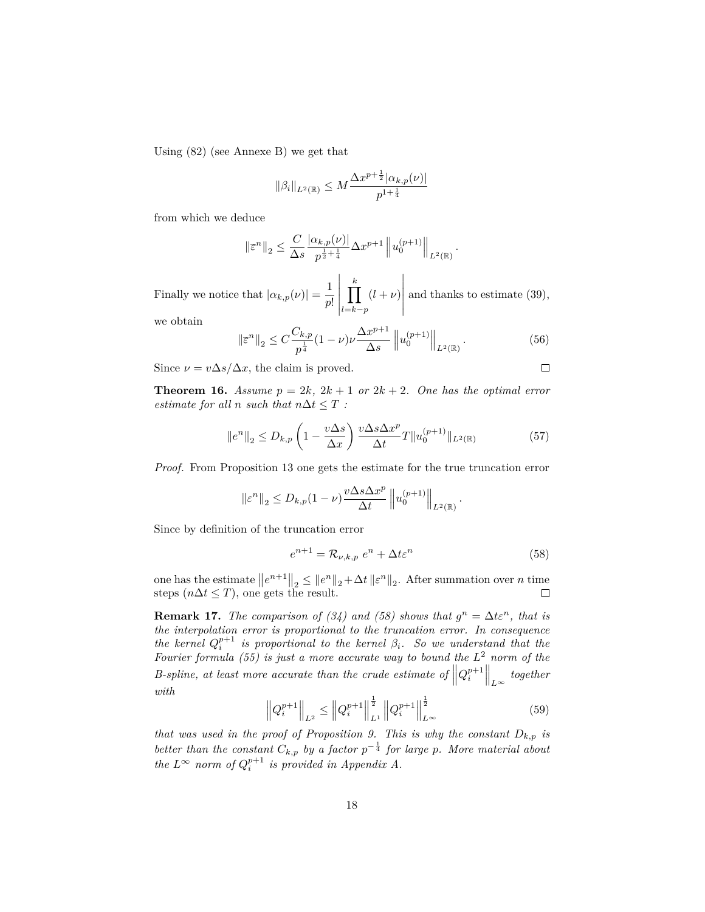Using (82) (see Annexe B) we get that

$$
\|\beta_i\|_{L^2(\mathbb{R})} \le M \frac{\Delta x^{p+\frac{1}{2}} |\alpha_{k,p}(\nu)|}{p^{1+\frac{1}{4}}}
$$

from which we deduce

$$
\|\overline{\varepsilon}^n\|_2 \le \frac{C}{\Delta s} \frac{|\alpha_{k,p}(\nu)|}{p^{\frac{1}{2} + \frac{1}{4}}} \Delta x^{p+1} \|u_0^{(p+1)}\|_{L^2(\mathbb{R})}.
$$

Finally we notice that  $|\alpha_{k,p}(\nu)| = \frac{1}{n^2}$ *p*!  $\frac{k}{\prod}$ *l*=*k*−*p*  $(l + \nu)$  and thanks to estimate (39),

we obtain

$$
\left\|\bar{\varepsilon}^{n}\right\|_{2} \leq C \frac{C_{k,p}}{p^{\frac{1}{4}}}(1-\nu)\nu \frac{\Delta x^{p+1}}{\Delta s}\left\|u_{0}^{(p+1)}\right\|_{L^{2}(\mathbb{R})}.\tag{56}
$$

 $\Box$ 

Since  $\nu = v \Delta s / \Delta x$ , the claim is proved.

**Theorem 16.** *Assume*  $p = 2k$ ,  $2k + 1$  *or*  $2k + 2$ *. One has the optimal error estimate for all n such that*  $n\Delta t \leq T$  *:* 

$$
\|e^n\|_2 \le D_{k,p} \left(1 - \frac{v\Delta s}{\Delta x}\right) \frac{v\Delta s \Delta x^p}{\Delta t} T \|u_0^{(p+1)}\|_{L^2(\mathbb{R})}
$$
(57)

*Proof.* From Proposition 13 one gets the estimate for the true truncation error

$$
\left\|\varepsilon^{n}\right\|_{2} \le D_{k, p}(1-\nu) \frac{v \Delta s \Delta x^{p}}{\Delta t} \left\|u_{0}^{(p+1)}\right\|_{L^{2}(\mathbb{R})}.
$$

Since by definition of the truncation error

$$
e^{n+1} = \mathcal{R}_{\nu,k,p} e^n + \Delta t \varepsilon^n \tag{58}
$$

one has the estimate  $||e^{n+1}||_2 \le ||e^n||_2 + \Delta t ||\varepsilon^n||_2$ . After summation over *n* time steps  $(n\Delta t \leq T)$ , one gets the result.  $\Box$ 

**Remark 17.** *The comparison of (34) and (58) shows that*  $g^n = \Delta t \varepsilon^n$ , that is *the interpolation error is proportional to the truncation error. In consequence the kernel*  $Q_i^{p+1}$  *is proportional to the kernel*  $\beta_i$ *. So we understand that the Fourier formula (55) is just a more accurate way to bound the L* <sup>2</sup> *norm of the B*-spline, at least more accurate than the crude estimate of  $||Q_i^{p+1}||_{L^{\infty}}$  together *with*

$$
\left\|Q_i^{p+1}\right\|_{L^2} \le \left\|Q_i^{p+1}\right\|_{L^1}^{\frac{1}{2}} \left\|Q_i^{p+1}\right\|_{L^\infty}^{\frac{1}{2}} \tag{59}
$$

*that was used in the proof of Proposition 9. This is why the constant*  $D_{k,p}$  *is better than the constant*  $C_{k,p}$  *by a factor*  $p^{-\frac{1}{4}}$  *for large p. More material about the*  $L^{\infty}$  *norm of*  $Q_i^{p+1}$  *is provided in Appendix A.*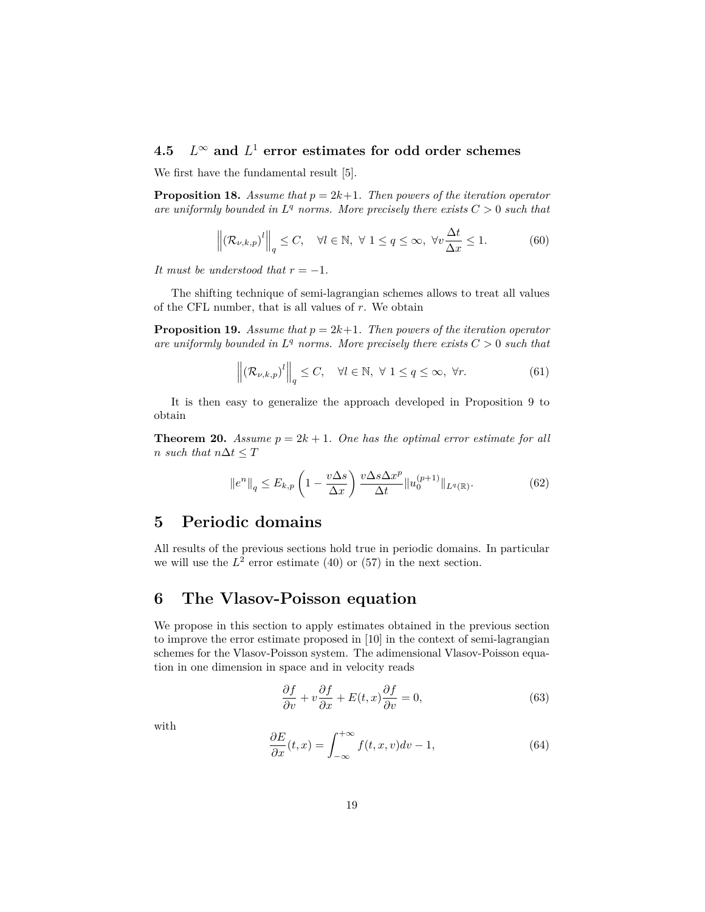#### **4.5** *L* <sup>∞</sup> **and** *L* <sup>1</sup> **error estimates for odd order schemes**

We first have the fundamental result [5].

**Proposition 18.** *Assume that*  $p = 2k+1$ *. Then powers of the iteration operator* are uniformly bounded in  $L^q$  norms. More precisely there exists  $C > 0$  such that

$$
\left\| \left( \mathcal{R}_{\nu,k,p} \right)^l \right\|_q \le C, \quad \forall l \in \mathbb{N}, \ \forall \ 1 \le q \le \infty, \ \forall v \frac{\Delta t}{\Delta x} \le 1. \tag{60}
$$

*It must be understood that*  $r = -1$ *.* 

The shifting technique of semi-lagrangian schemes allows to treat all values of the CFL number, that is all values of *r*. We obtain

**Proposition 19.** *Assume that*  $p = 2k+1$ *. Then powers of the iteration operator* are uniformly bounded in  $L^q$  norms. More precisely there exists  $C > 0$  such that

$$
\left\| \left( \mathcal{R}_{\nu,k,p} \right)^l \right\|_q \le C, \quad \forall l \in \mathbb{N}, \ \forall \ 1 \le q \le \infty, \ \forall r. \tag{61}
$$

It is then easy to generalize the approach developed in Proposition 9 to obtain

**Theorem 20.** *Assume*  $p = 2k + 1$ *. One has the optimal error estimate for all n such that*  $n\Delta t \leq T$ 

$$
||e^n||_q \le E_{k,p} \left(1 - \frac{v\Delta s}{\Delta x}\right) \frac{v\Delta s \Delta x^p}{\Delta t} ||u_0^{(p+1)}||_{L^q(\mathbb{R})}. \tag{62}
$$

## **5 Periodic domains**

All results of the previous sections hold true in periodic domains. In particular we will use the  $L^2$  error estimate (40) or (57) in the next section.

## **6 The Vlasov-Poisson equation**

We propose in this section to apply estimates obtained in the previous section to improve the error estimate proposed in [10] in the context of semi-lagrangian schemes for the Vlasov-Poisson system. The adimensional Vlasov-Poisson equation in one dimension in space and in velocity reads

$$
\frac{\partial f}{\partial v} + v \frac{\partial f}{\partial x} + E(t, x) \frac{\partial f}{\partial v} = 0,
$$
\n(63)

with

$$
\frac{\partial E}{\partial x}(t,x) = \int_{-\infty}^{+\infty} f(t,x,v)dv - 1,\tag{64}
$$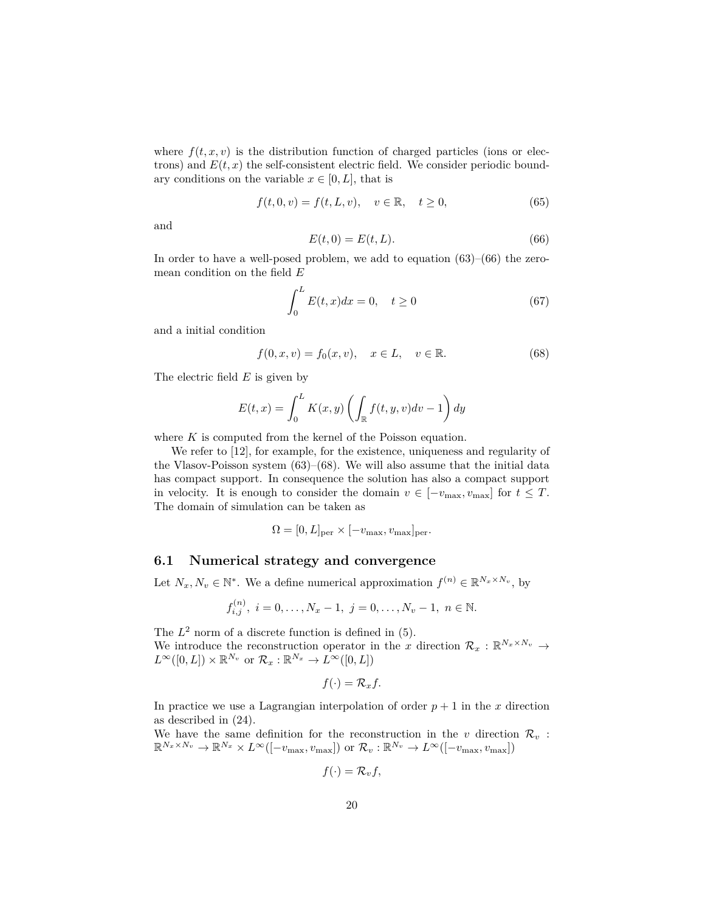where  $f(t, x, v)$  is the distribution function of charged particles (ions or electrons) and  $E(t, x)$  the self-consistent electric field. We consider periodic boundary conditions on the variable  $x \in [0, L]$ , that is

$$
f(t,0,v) = f(t,L,v), \quad v \in \mathbb{R}, \quad t \ge 0,
$$
\n
$$
(65)
$$

and

$$
E(t,0) = E(t,L). \tag{66}
$$

In order to have a well-posed problem, we add to equation (63)–(66) the zeromean condition on the field *E*

$$
\int_0^L E(t, x)dx = 0, \quad t \ge 0
$$
\n
$$
(67)
$$

and a initial condition

$$
f(0, x, v) = f_0(x, v), \quad x \in L, \quad v \in \mathbb{R}.
$$
 (68)

The electric field *E* is given by

$$
E(t,x) = \int_0^L K(x,y) \left( \int_{\mathbb{R}} f(t,y,v) dv - 1 \right) dy
$$

where *K* is computed from the kernel of the Poisson equation.

We refer to [12], for example, for the existence, uniqueness and regularity of the Vlasov-Poisson system  $(63)$ – $(68)$ . We will also assume that the initial data has compact support. In consequence the solution has also a compact support in velocity. It is enough to consider the domain  $v \in [-v_{\text{max}}, v_{\text{max}}]$  for  $t \leq T$ . The domain of simulation can be taken as

$$
\Omega = [0, L]_{\text{per}} \times [-v_{\text{max}}, v_{\text{max}}]_{\text{per}}.
$$

#### **6.1 Numerical strategy and convergence**

Let  $N_x, N_v \in \mathbb{N}^*$ . We a define numerical approximation  $f^{(n)} \in \mathbb{R}^{N_x \times N_v}$ , by

$$
f_{i,j}^{(n)},\ i=0,\ldots,N_x-1,\ j=0,\ldots,N_v-1,\ n\in\mathbb{N}.
$$

The  $L^2$  norm of a discrete function is defined in  $(5)$ . We introduce the reconstruction operator in the *x* direction  $\mathcal{R}_x : \mathbb{R}^{N_x \times N_v} \to$ 

 $L^{\infty}([0,L]) \times \mathbb{R}^{N_v}$  or  $\mathcal{R}_x : \mathbb{R}^{N_x} \to L^{\infty}([0,L])$ 

$$
f(\cdot) = \mathcal{R}_x f.
$$

In practice we use a Lagrangian interpolation of order  $p + 1$  in the *x* direction as described in (24).

We have the same definition for the reconstruction in the  $v$  direction  $\mathcal{R}_v$ :  $\mathbb{R}^{N_x \times N_v} \to \mathbb{R}^{N_x} \times L^{\infty}([-v_{\text{max}}, v_{\text{max}}])$  or  $\mathcal{R}_v : \mathbb{R}^{N_v} \to L^{\infty}([-v_{\text{max}}, v_{\text{max}}])$ 

$$
f(\cdot) = \mathcal{R}_v f,
$$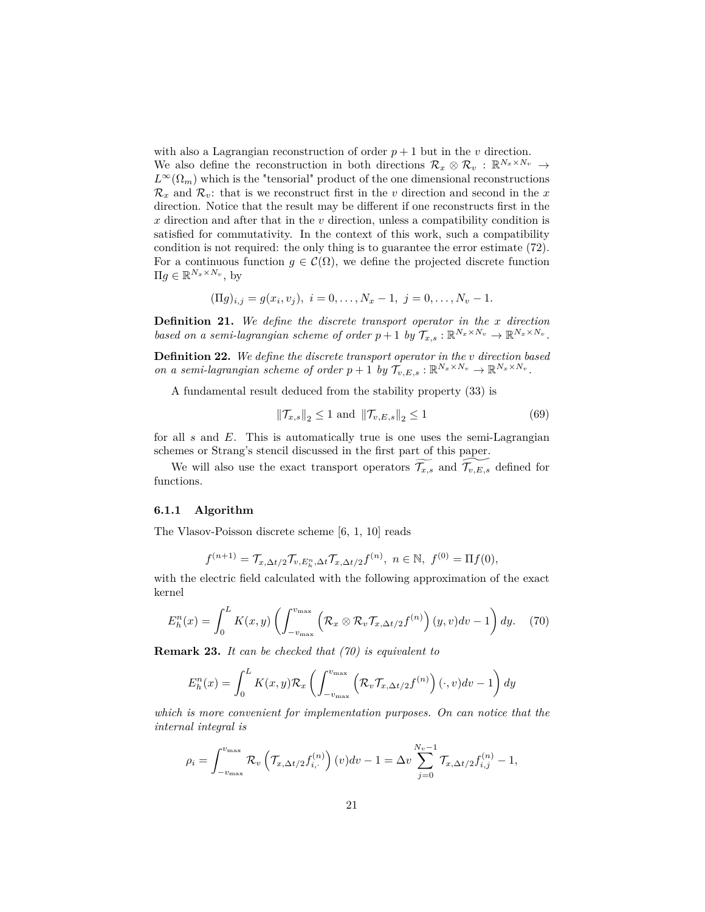with also a Lagrangian reconstruction of order  $p + 1$  but in the *v* direction. We also define the reconstruction in both directions  $\mathcal{R}_x \otimes \mathcal{R}_v : \mathbb{R}^{N_x \times N_v} \to$  $L^{\infty}(\Omega_m)$  which is the "tensorial" product of the one dimensional reconstructions  $\mathcal{R}_x$  and  $\mathcal{R}_v$ : that is we reconstruct first in the *v* direction and second in the *x* direction. Notice that the result may be different if one reconstructs first in the *x* direction and after that in the *v* direction, unless a compatibility condition is satisfied for commutativity. In the context of this work, such a compatibility condition is not required: the only thing is to guarantee the error estimate (72). For a continuous function  $q \in \mathcal{C}(\Omega)$ , we define the projected discrete function  $\Pi g \in \mathbb{R}^{N_x \times N_v}$ , by

$$
(\Pi g)_{i,j} = g(x_i, v_j), \ i = 0, \dots, N_x - 1, \ j = 0, \dots, N_v - 1.
$$

**Definition 21.** *We define the discrete transport operator in the x direction based on a semi-lagrangian scheme of order*  $p + 1$  *by*  $\mathcal{T}_{x,s} : \mathbb{R}^{N_x \times N_v} \to \mathbb{R}^{N_x \times N_v}$ .

**Definition 22.** *We define the discrete transport operator in the v direction based on a semi-lagrangian scheme of order*  $p + 1$  *by*  $\mathcal{T}_{v,E,s} : \mathbb{R}^{N_x \times N_v} \to \mathbb{R}^{N_x \times N_v}$ .

A fundamental result deduced from the stability property (33) is

$$
\|\mathcal{T}_{x,s}\|_2 \le 1 \text{ and } \|\mathcal{T}_{v,E,s}\|_2 \le 1 \tag{69}
$$

for all *s* and *E*. This is automatically true is one uses the semi-Lagrangian schemes or Strang's stencil discussed in the first part of this paper.

We will also use the exact transport operators  $\widetilde{\mathcal{T}_{x,s}}$  and  $\widetilde{\mathcal{T}_{v,E,s}}$  defined for functions.

#### **6.1.1 Algorithm**

The Vlasov-Poisson discrete scheme [6, 1, 10] reads

$$
f^{(n+1)} = \mathcal{T}_{x,\Delta t/2} \mathcal{T}_{v,E_h^n,\Delta t} \mathcal{T}_{x,\Delta t/2} f^{(n)}, \ n \in \mathbb{N}, \ f^{(0)} = \Pi f(0),
$$

with the electric field calculated with the following approximation of the exact kernel

$$
E_h^n(x) = \int_0^L K(x, y) \left( \int_{-v_{\text{max}}}^{v_{\text{max}}} \left( \mathcal{R}_x \otimes \mathcal{R}_v \mathcal{T}_{x, \Delta t/2} f^{(n)} \right) (y, v) dv - 1 \right) dy. \tag{70}
$$

**Remark 23.** *It can be checked that (70) is equivalent to*

$$
E_h^n(x) = \int_0^L K(x, y) \mathcal{R}_x \left( \int_{-v_{\text{max}}}^{v_{\text{max}}} \left( \mathcal{R}_v \mathcal{T}_{x, \Delta t/2} f^{(n)} \right) (\cdot, v) dv - 1 \right) dy
$$

*which is more convenient for implementation purposes. On can notice that the internal integral is*

$$
\rho_i = \int_{-v_{\text{max}}}^{v_{\text{max}}} \mathcal{R}_v \left( \mathcal{T}_{x, \Delta t/2} f_{i, \cdot}^{(n)} \right)(v) dv - 1 = \Delta v \sum_{j=0}^{N_v - 1} \mathcal{T}_{x, \Delta t/2} f_{i, j}^{(n)} - 1,
$$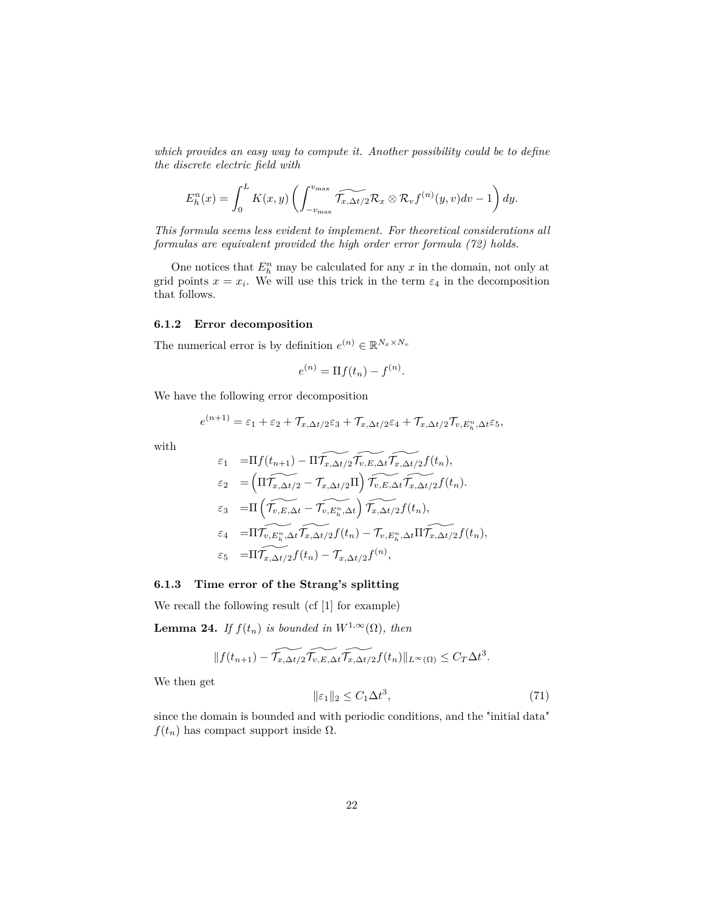*which provides an easy way to compute it. Another possibility could be to define the discrete electric field with*

$$
E_h^n(x) = \int_0^L K(x, y) \left( \int_{-v_{\text{max}}}^{v_{\text{max}}} \widetilde{\mathcal{T}_{x, \Delta t/2}} \mathcal{R}_x \otimes \mathcal{R}_v f^{(n)}(y, v) dv - 1 \right) dy.
$$

*This formula seems less evident to implement. For theoretical considerations all formulas are equivalent provided the high order error formula (72) holds.*

One notices that  $E_h^n$  may be calculated for any  $x$  in the domain, not only at grid points  $x = x_i$ . We will use this trick in the term  $\varepsilon_4$  in the decomposition that follows.

#### **6.1.2 Error decomposition**

The numerical error is by definition  $e^{(n)} \in \mathbb{R}^{N_x \times N_v}$ 

$$
e^{(n)} = \Pi f(t_n) - f^{(n)}.
$$

We have the following error decomposition

$$
e^{(n+1)} = \varepsilon_1 + \varepsilon_2 + \mathcal{T}_{x,\Delta t/2} \varepsilon_3 + \mathcal{T}_{x,\Delta t/2} \varepsilon_4 + \mathcal{T}_{x,\Delta t/2} \mathcal{T}_{v,E_h^n,\Delta t} \varepsilon_5,
$$

with

$$
\varepsilon_1 = \Pi f(t_{n+1}) - \Pi \widetilde{T_{x,\Delta t/2}} \widetilde{T_{v,E,\Delta t}} \widetilde{T_{x,\Delta t/2}} f(t_n),
$$
\n
$$
\varepsilon_2 = \left( \Pi \widetilde{T_{x,\Delta t/2}} - \widetilde{T_{x,\Delta t/2}} \Pi \right) \widetilde{T_{v,E,\Delta t}} \widetilde{T_{x,\Delta t/2}} f(t_n),
$$
\n
$$
\varepsilon_3 = \Pi \left( \widetilde{T_{v,E,n}} \Delta t - \widetilde{T_{v,E_n^n}} \Delta t \right) \widetilde{T_{x,\Delta t/2}} f(t_n),
$$
\n
$$
\varepsilon_4 = \Pi \widetilde{T_{v,E_n^n}} \Delta t \widetilde{T_{x,\Delta t/2}} f(t_n) - \widetilde{T_{v,E_n^n}} \Delta t \Pi \widetilde{T_{x,\Delta t/2}} f(t_n),
$$
\n
$$
\varepsilon_5 = \Pi \widetilde{T_{x,\Delta t/2}} f(t_n) - \widetilde{T_{x,\Delta t/2}} f^{(n)},
$$

#### **6.1.3 Time error of the Strang's splitting**

We recall the following result (cf [1] for example)

**Lemma 24.** *If*  $f(t_n)$  *is bounded in*  $W^{1,\infty}(\Omega)$ *, then* 

$$
|| f(t_{n+1}) - \widetilde{\mathcal{T}_{x,\Delta t/2}} \widetilde{\mathcal{T}_{v,E,\Delta t}} \widetilde{\mathcal{T}_{x,\Delta t/2}} f(t_n)||_{L^{\infty}(\Omega)} \leq C_T \Delta t^3.
$$

We then get

$$
\|\varepsilon_1\|_2 \le C_1 \Delta t^3,\tag{71}
$$

since the domain is bounded and with periodic conditions, and the "initial data"  $f(t_n)$  has compact support inside  $\Omega$ .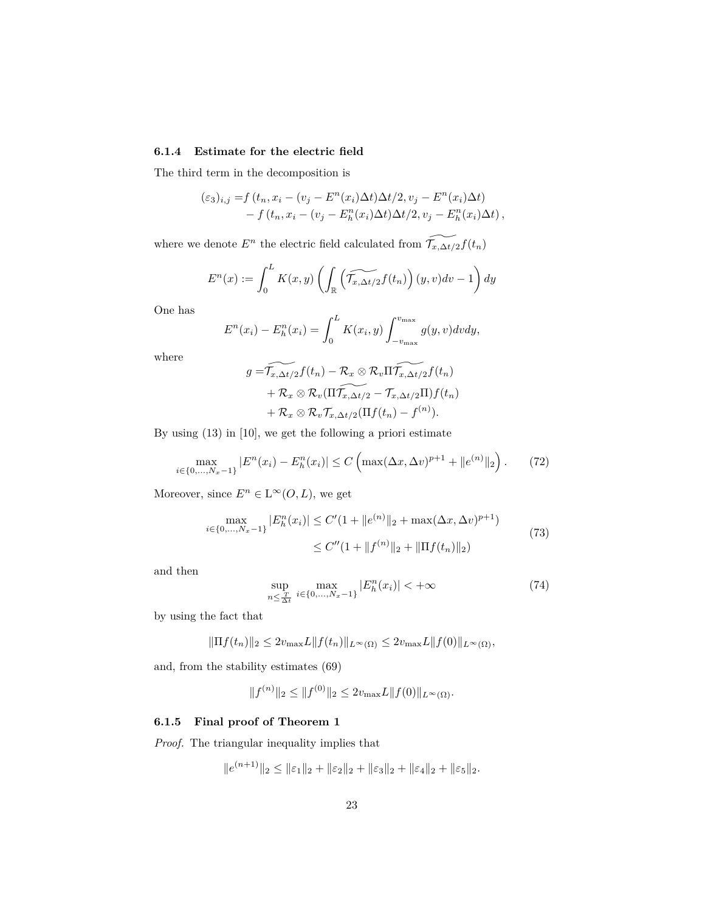### **6.1.4 Estimate for the electric field**

The third term in the decomposition is

$$
\begin{aligned} (\varepsilon_3)_{i,j} &= f\left(t_n, x_i - (v_j - E^n(x_i)\Delta t)\Delta t/2, v_j - E^n(x_i)\Delta t\right) \\ &- f\left(t_n, x_i - (v_j - E^n_h(x_i)\Delta t)\Delta t/2, v_j - E^n_h(x_i)\Delta t\right), \end{aligned}
$$

where we denote  $E^n$  the electric field calculated from  $\widetilde{\mathcal{T}_{x,\Delta t/2}}f(t_n)$ 

$$
E^{n}(x) := \int_{0}^{L} K(x, y) \left( \int_{\mathbb{R}} \left( \widetilde{\mathcal{T}_{x, \Delta t/2}} f(t_{n}) \right) (y, v) dv - 1 \right) dy
$$

One has

$$
E^{n}(x_i) - E_h^{n}(x_i) = \int_0^L K(x_i, y) \int_{-v_{\text{max}}}^{v_{\text{max}}} g(y, v) dv dy,
$$

where

$$
g = \widetilde{\mathcal{T}_{x,\Delta t/2}f(t_n)} - \mathcal{R}_x \otimes \mathcal{R}_v \Pi \widetilde{\mathcal{T}_{x,\Delta t/2}f(t_n)} + \mathcal{R}_x \otimes \mathcal{R}_v (\Pi \widetilde{\mathcal{T}_{x,\Delta t/2}} - \mathcal{T}_{x,\Delta t/2} \Pi) f(t_n) + \mathcal{R}_x \otimes \mathcal{R}_v \mathcal{T}_{x,\Delta t/2} (\Pi f(t_n) - f^{(n)}).
$$

By using (13) in [10], we get the following a priori estimate

$$
\max_{i \in \{0, \ldots, N_x - 1\}} |E^n(x_i) - E_h^n(x_i)| \le C \left( \max(\Delta x, \Delta v)^{p+1} + \|e^{(n)}\|_2 \right). \tag{72}
$$

Moreover, since  $E^n \in L^{\infty}(O, L)$ , we get

$$
\max_{i \in \{0, ..., N_x - 1\}} |E_h^n(x_i)| \le C' (1 + \|e^{(n)}\|_2 + \max(\Delta x, \Delta v)^{p+1})
$$
  
 
$$
\le C'' (1 + \|f^{(n)}\|_2 + \|\Pi f(t_n)\|_2)
$$
 (73)

and then

$$
\sup_{n \le \frac{T}{\Delta t}} \max_{i \in \{0, \dots, N_x - 1\}} |E_h^n(x_i)| < +\infty \tag{74}
$$

by using the fact that

$$
\|\Pi f(t_n)\|_2 \le 2v_{\max}L\|f(t_n)\|_{L^{\infty}(\Omega)} \le 2v_{\max}L\|f(0)\|_{L^{\infty}(\Omega)},
$$

and, from the stability estimates (69)

$$
||f^{(n)}||_2 \le ||f^{(0)}||_2 \le 2v_{\max}L||f(0)||_{L^{\infty}(\Omega)}.
$$

### **6.1.5 Final proof of Theorem 1**

*Proof.* The triangular inequality implies that

 $||e^{(n+1)}||_2 \le ||\varepsilon_1||_2 + ||\varepsilon_2||_2 + ||\varepsilon_3||_2 + ||\varepsilon_4||_2 + ||\varepsilon_5||_2.$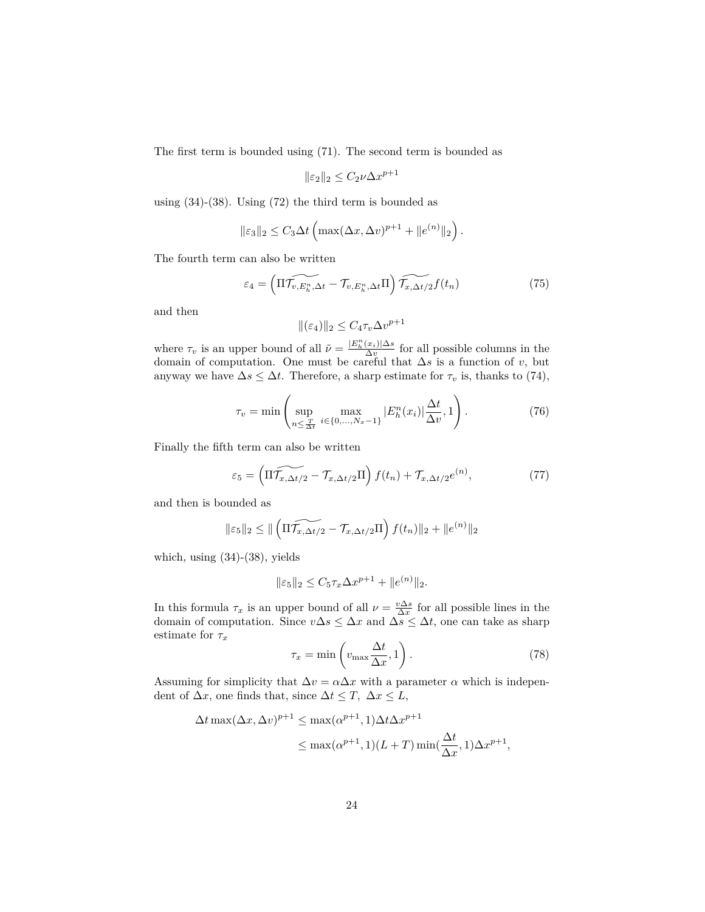The first term is bounded using (71). The second term is bounded as

$$
\|\varepsilon_2\|_2 \le C_2 \nu \Delta x^{p+1}
$$

using (34)-(38). Using (72) the third term is bounded as

$$
\|\varepsilon_3\|_2 \leq C_3 \Delta t \left( \max(\Delta x, \Delta v)^{p+1} + \|e^{(n)}\|_2 \right).
$$

The fourth term can also be written

$$
\varepsilon_4 = \left(\widetilde{\Pi \mathcal{T}_{v, E_h^n, \Delta t}} - \mathcal{T}_{v, E_h^n, \Delta t} \Pi\right) \widetilde{\mathcal{T}_{x, \Delta t/2} f(t_n)}\tag{75}
$$

and then

$$
\|(\varepsilon_4)\|_2 \le C_4 \tau_v \Delta v^{p+1}
$$

where  $\tau_v$  is an upper bound of all  $\tilde{\nu} = \frac{|E_h^n(x_i)| \Delta s}{\Delta v}$  for all possible columns in the domain of computation. One must be careful that ∆*s* is a function of *v*, but anyway we have  $\Delta s \leq \Delta t$ . Therefore, a sharp estimate for  $\tau_v$  is, thanks to (74),

$$
\tau_v = \min \left( \sup_{n \le \frac{T}{\Delta t}} \max_{i \in \{0, ..., N_x - 1\}} |E_h^n(x_i)| \frac{\Delta t}{\Delta v}, 1 \right). \tag{76}
$$

Finally the fifth term can also be written

$$
\varepsilon_5 = \left(\widetilde{\Pi \mathcal{T}_{x,\Delta t/2}} - \mathcal{T}_{x,\Delta t/2} \Pi\right) f(t_n) + \mathcal{T}_{x,\Delta t/2} e^{(n)},\tag{77}
$$

and then is bounded as

$$
\|\varepsilon_5\|_2 \leq \|\left(\widetilde{\Pi \mathcal{T}_{x,\Delta t/2} - \mathcal{T}_{x,\Delta t/2} \Pi}\right) f(t_n)\|_2 + \|e^{(n)}\|_2
$$

which, using (34)-(38), yields

$$
\|\varepsilon_5\|_2 \le C_5 \tau_x \Delta x^{p+1} + \|e^{(n)}\|_2.
$$

In this formula  $\tau_x$  is an upper bound of all  $\nu = \frac{v\Delta s}{\Delta x}$  for all possible lines in the domain of computation. Since  $v\Delta s \leq \Delta x$  and  $\Delta s \leq \Delta t$ , one can take as sharp estimate for *τ<sup>x</sup>*

$$
\tau_x = \min\left(v_{\text{max}}\frac{\Delta t}{\Delta x}, 1\right). \tag{78}
$$

Assuming for simplicity that  $\Delta v = \alpha \Delta x$  with a parameter  $\alpha$  which is independent of  $\Delta x$ , one finds that, since  $\Delta t \leq T$ ,  $\Delta x \leq L$ ,

$$
\Delta t \max(\Delta x, \Delta v)^{p+1} \le \max(\alpha^{p+1}, 1)\Delta t \Delta x^{p+1}
$$
  

$$
\le \max(\alpha^{p+1}, 1)(L+T) \min(\frac{\Delta t}{\Delta x}, 1)\Delta x^{p+1},
$$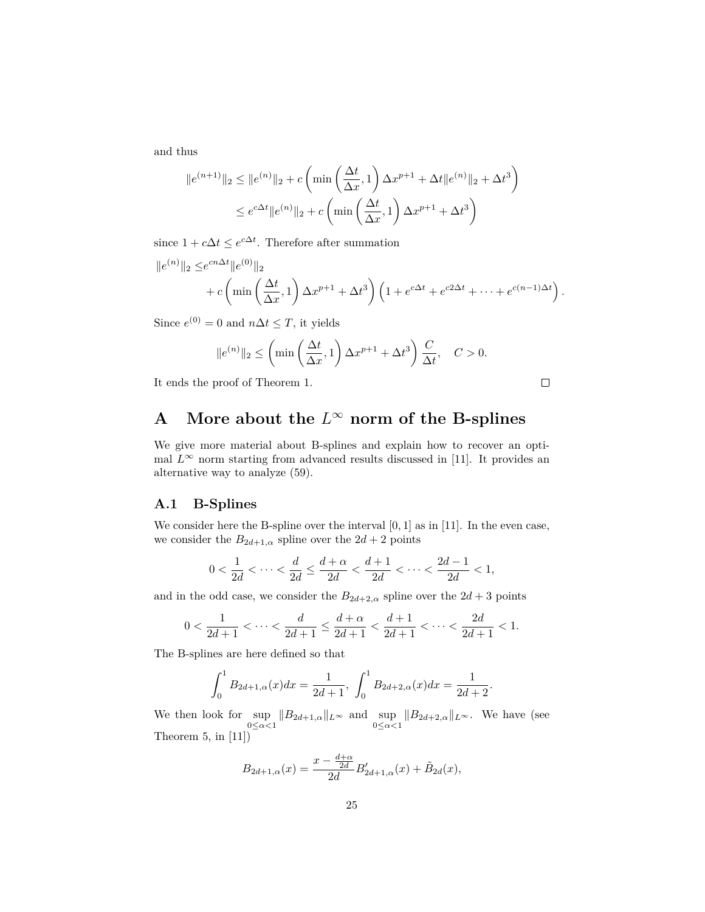and thus

$$
||e^{(n+1)}||_2 \le ||e^{(n)}||_2 + c \left( \min\left(\frac{\Delta t}{\Delta x}, 1\right) \Delta x^{p+1} + \Delta t ||e^{(n)}||_2 + \Delta t^3 \right)
$$
  

$$
\le e^{c\Delta t} ||e^{(n)}||_2 + c \left( \min\left(\frac{\Delta t}{\Delta x}, 1\right) \Delta x^{p+1} + \Delta t^3 \right)
$$

since  $1 + c\Delta t \leq e^{c\Delta t}$ . Therefore after summation

$$
||e^{(n)}||_2 \leq e^{cn\Delta t} ||e^{(0)}||_2 + c \left( \min \left( \frac{\Delta t}{\Delta x}, 1 \right) \Delta x^{p+1} + \Delta t^3 \right) \left( 1 + e^{c\Delta t} + e^{c2\Delta t} + \dots + e^{c(n-1)\Delta t} \right).
$$

Since  $e^{(0)} = 0$  and  $n\Delta t \leq T$ , it yields

$$
||e^{(n)}||_2 \le \left(\min\left(\frac{\Delta t}{\Delta x}, 1\right) \Delta x^{p+1} + \Delta t^3\right) \frac{C}{\Delta t}, \quad C > 0.
$$

 $\Box$ 

It ends the proof of Theorem 1.

A More about the 
$$
L^{\infty}
$$
 norm of the B-splines

We give more material about B-splines and explain how to recover an optimal  $L^{\infty}$  norm starting from advanced results discussed in [11]. It provides an alternative way to analyze (59).

### **A.1 B-Splines**

We consider here the B-spline over the interval [0*,* 1] as in [11]. In the even case, we consider the  $B_{2d+1,\alpha}$  spline over the  $2d+2$  points

$$
0 < \frac{1}{2d} < \dots < \frac{d}{2d} \le \frac{d+\alpha}{2d} < \frac{d+1}{2d} < \dots < \frac{2d-1}{2d} < 1,
$$

and in the odd case, we consider the  $B_{2d+2,\alpha}$  spline over the  $2d+3$  points

$$
0 < \frac{1}{2d+1} < \dots < \frac{d}{2d+1} \le \frac{d+\alpha}{2d+1} < \frac{d+1}{2d+1} < \dots < \frac{2d}{2d+1} < 1.
$$

The B-splines are here defined so that

$$
\int_0^1 B_{2d+1,\alpha}(x)dx = \frac{1}{2d+1}, \ \int_0^1 B_{2d+2,\alpha}(x)dx = \frac{1}{2d+2}.
$$

We then look for  $\sup_{0 \leq \alpha < 1} \|B_{2d+1,\alpha}\|_{L^\infty}$  and  $\sup_{0 \leq \alpha < 1} \|B_{2d+2,\alpha}\|_{L^\infty}$ . We have (see Theorem 5, in  $[11]$ )

$$
B_{2d+1,\alpha}(x) = \frac{x - \frac{d+\alpha}{2d}}{2d} B'_{2d+1,\alpha}(x) + \tilde{B}_{2d}(x),
$$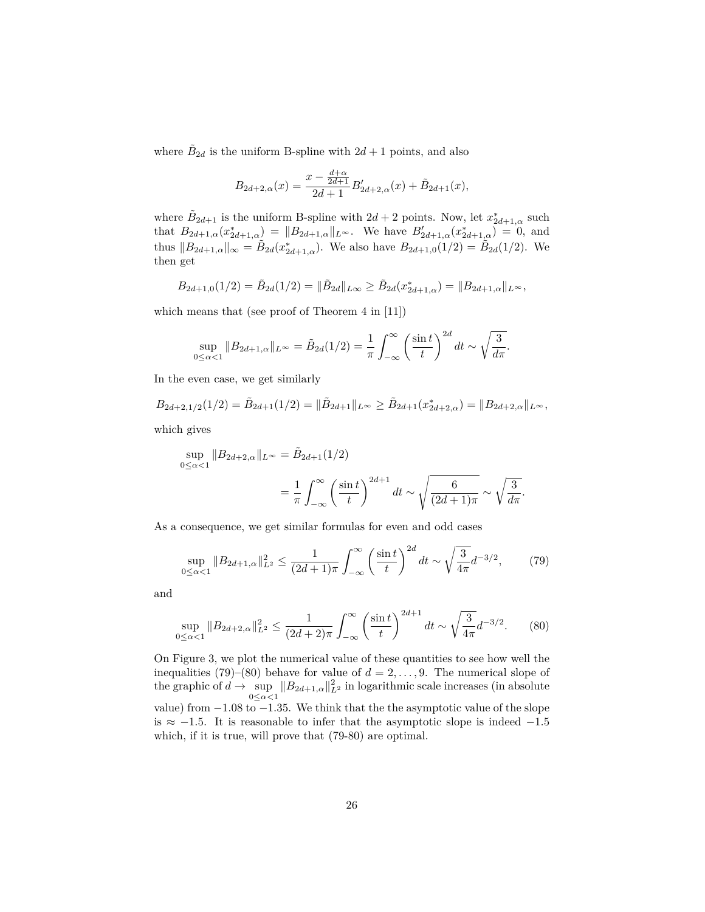where  $\tilde{B}_{2d}$  is the uniform B-spline with  $2d+1$  points, and also

$$
B_{2d+2,\alpha}(x) = \frac{x - \frac{d+\alpha}{2d+1}}{2d+1} B'_{2d+2,\alpha}(x) + \tilde{B}_{2d+1}(x),
$$

where  $\tilde{B}_{2d+1}$  is the uniform B-spline with  $2d+2$  points. Now, let  $x^*_{2d+1,\alpha}$  such that  $B_{2d+1,\alpha}(x_{2d+1,\alpha}^*) = ||B_{2d+1,\alpha}||_{L^\infty}$ . We have  $B'_{2d+1,\alpha}(x_{2d+1,\alpha}^*) = 0$ , and thus  $||B_{2d+1,\alpha}||_{\infty} = \tilde{B}_{2d}(x_{2d+1,\alpha}^*)$ . We also have  $B_{2d+1,0}(1/2) = \tilde{B}_{2d}(1/2)$ . We then get

$$
B_{2d+1,0}(1/2) = \tilde{B}_{2d}(1/2) = \|\tilde{B}_{2d}\|_{L\infty} \ge \tilde{B}_{2d}(x_{2d+1,\alpha}^*) = \|B_{2d+1,\alpha}\|_{L\infty},
$$

which means that (see proof of Theorem 4 in [11])

$$
\sup_{0 \le \alpha < 1} \|B_{2d+1,\alpha}\|_{L^\infty} = \tilde{B}_{2d}(1/2) = \frac{1}{\pi} \int_{-\infty}^{\infty} \left(\frac{\sin t}{t}\right)^{2d} dt \sim \sqrt{\frac{3}{d\pi}}.
$$

In the even case, we get similarly

$$
B_{2d+2,1/2}(1/2) = \tilde{B}_{2d+1}(1/2) = \|\tilde{B}_{2d+1}\|_{L^{\infty}} \ge \tilde{B}_{2d+1}(x_{2d+2,\alpha}^{*}) = \|B_{2d+2,\alpha}\|_{L^{\infty}},
$$

which gives

$$
\sup_{0 \le \alpha < 1} \|B_{2d+2,\alpha}\|_{L^\infty} = \tilde{B}_{2d+1}(1/2) \\
= \frac{1}{\pi} \int_{-\infty}^{\infty} \left(\frac{\sin t}{t}\right)^{2d+1} dt \sim \sqrt{\frac{6}{(2d+1)\pi}} \sim \sqrt{\frac{3}{d\pi}}.
$$

As a consequence, we get similar formulas for even and odd cases

$$
\sup_{0 \le \alpha < 1} \|B_{2d+1,\alpha}\|_{L^2}^2 \le \frac{1}{(2d+1)\pi} \int_{-\infty}^\infty \left(\frac{\sin t}{t}\right)^{2d} dt \sim \sqrt{\frac{3}{4\pi}} d^{-3/2},\tag{79}
$$

and

$$
\sup_{0 \le \alpha < 1} \|B_{2d+2,\alpha}\|_{L^2}^2 \le \frac{1}{(2d+2)\pi} \int_{-\infty}^{\infty} \left(\frac{\sin t}{t}\right)^{2d+1} dt \sim \sqrt{\frac{3}{4\pi}} d^{-3/2}.\tag{80}
$$

On Figure 3, we plot the numerical value of these quantities to see how well the inequalities (79)–(80) behave for value of  $d = 2, \ldots, 9$ . The numerical slope of the graphic of  $d \to \sup_{0 \le \alpha < 1} ||B_{2d+1,\alpha}||_{L^2}^2$  in logarithmic scale increases (in absolute value) from −1*.*08 to −1*.*35. We think that the the asymptotic value of the slope is  $\approx$  −1.5. It is reasonable to infer that the asymptotic slope is indeed −1.5 which, if it is true, will prove that (79-80) are optimal.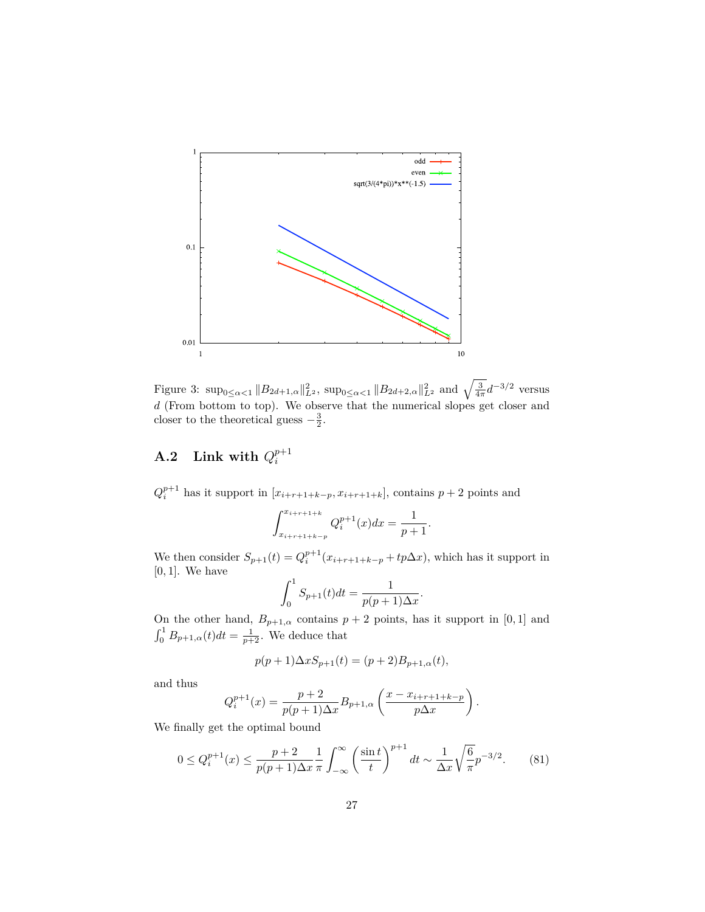

Figure 3:  $\sup_{0 \leq \alpha < 1} \|B_{2d+1,\alpha}\|_{L^2}^2$ ,  $\sup_{0 \leq \alpha < 1} \|B_{2d+2,\alpha}\|_{L^2}^2$  and  $\sqrt{\frac{3}{4\pi}}d^{-3/2}$  versus *d* (From bottom to top). We observe that the numerical slopes get closer and closer to the theoretical guess  $-\frac{3}{2}$ .

#### $\mathbf{A.2}$  Link with  $Q_i^{p+1}$ *i*

 $Q_i^{p+1}$  has it support in  $[x_{i+r+1+k-p}, x_{i+r+1+k}]$ , contains  $p+2$  points and

$$
\int_{x_{i+r+1+k-p}}^{x_{i+r+1+k}} Q_i^{p+1}(x) dx = \frac{1}{p+1}.
$$

We then consider  $S_{p+1}(t) = Q_i^{p+1}(x_{i+r+1+k-p} + tp\Delta x)$ , which has it support in [0*,* 1]. We have

$$
\int_0^1 S_{p+1}(t)dt = \frac{1}{p(p+1)\Delta x}.
$$

On the other hand,  $B_{p+1,\alpha}$  contains  $p+2$  points, has it support in [0, 1] and  $\int_0^1 B_{p+1,\alpha}(t)dt = \frac{1}{p+2}$ . We deduce that

$$
p(p+1)\Delta x S_{p+1}(t) = (p+2)B_{p+1,\alpha}(t),
$$

and thus

$$
Q_i^{p+1}(x) = \frac{p+2}{p(p+1)\Delta x} B_{p+1,\alpha} \left( \frac{x - x_{i+r+1+k-p}}{p\Delta x} \right).
$$

We finally get the optimal bound

$$
0 \le Q_i^{p+1}(x) \le \frac{p+2}{p(p+1)\Delta x} \frac{1}{\pi} \int_{-\infty}^{\infty} \left(\frac{\sin t}{t}\right)^{p+1} dt \sim \frac{1}{\Delta x} \sqrt{\frac{6}{\pi}} p^{-3/2}.
$$
 (81)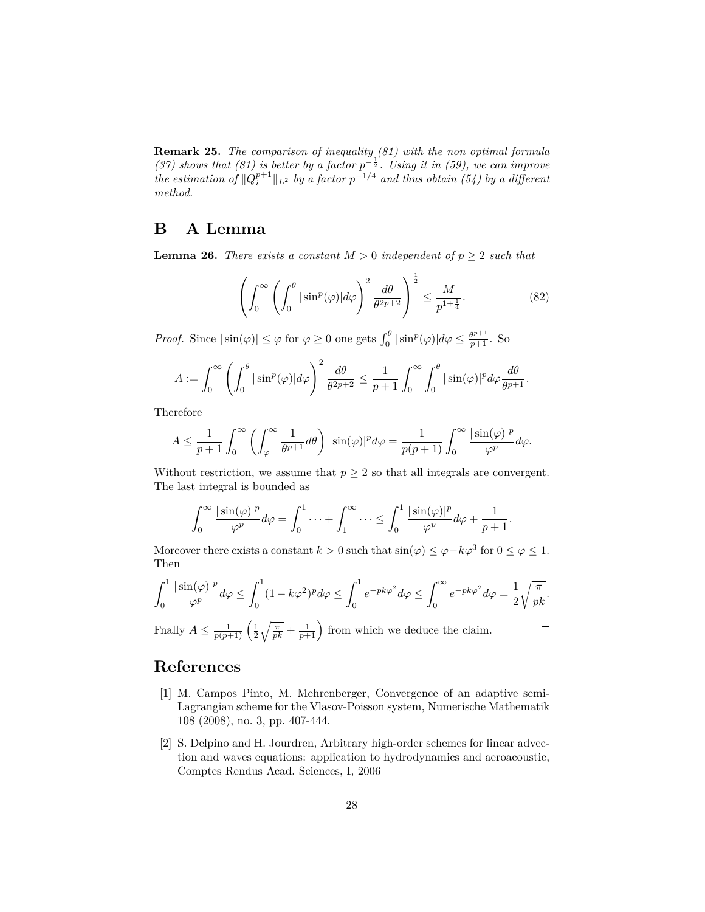**Remark 25.** *The comparison of inequality (81) with the non optimal formula* (37) shows that (81) is better by a factor  $p^{-\frac{1}{2}}$ . Using it in (59), we can improve *the estimation of*  $\|Q_i^{p+1}\|_{L^2}$  *by a factor*  $p^{-1/4}$  *and thus obtain* (54) *by a different method.*

## **B A Lemma**

**Lemma 26.** *There exists a constant*  $M > 0$  *independent* of  $p \geq 2$  *such that* 

$$
\left(\int_0^\infty \left(\int_0^\theta |\sin^p(\varphi)| d\varphi\right)^2 \frac{d\theta}{\theta^{2p+2}}\right)^{\frac{1}{2}} \le \frac{M}{p^{1+\frac{1}{4}}}.\tag{82}
$$

*Proof.* Since  $|\sin(\varphi)| \leq \varphi$  for  $\varphi \geq 0$  one gets  $\int_0^{\theta} |\sin^p(\varphi)| d\varphi \leq \frac{\theta^{p+1}}{p+1}$ . So

$$
A := \int_0^\infty \left( \int_0^\theta |\sin^p(\varphi)| d\varphi \right)^2 \frac{d\theta}{\theta^{2p+2}} \le \frac{1}{p+1} \int_0^\infty \int_0^\theta |\sin(\varphi)|^p d\varphi \frac{d\theta}{\theta^{p+1}}.
$$

Therefore

$$
A \le \frac{1}{p+1} \int_0^\infty \left( \int_\varphi^\infty \frac{1}{\theta^{p+1}} d\theta \right) |\sin(\varphi)|^p d\varphi = \frac{1}{p(p+1)} \int_0^\infty \frac{|\sin(\varphi)|^p}{\varphi^p} d\varphi.
$$

Without restriction, we assume that  $p \geq 2$  so that all integrals are convergent. The last integral is bounded as

$$
\int_0^\infty \frac{|\sin(\varphi)|^p}{\varphi^p} d\varphi = \int_0^1 \dots + \int_1^\infty \dots \le \int_0^1 \frac{|\sin(\varphi)|^p}{\varphi^p} d\varphi + \frac{1}{p+1}.
$$

Moreover there exists a constant  $k > 0$  such that  $\sin(\varphi) \leq \varphi - k\varphi^3$  for  $0 \leq \varphi \leq 1$ . Then

$$
\int_0^1 \frac{|\sin(\varphi)|^p}{\varphi^p} d\varphi \le \int_0^1 (1 - k\varphi^2)^p d\varphi \le \int_0^1 e^{-pk\varphi^2} d\varphi \le \int_0^\infty e^{-pk\varphi^2} d\varphi = \frac{1}{2} \sqrt{\frac{\pi}{pk}}.
$$

Finally  $A \n\t\leq \frac{1}{p(p+1)} \left( \frac{1}{2} \sqrt{\frac{\pi}{pk}} + \frac{1}{p+1} \right)$  from which we deduce the claim.

### $\Box$

## **References**

- [1] M. Campos Pinto, M. Mehrenberger, Convergence of an adaptive semi-Lagrangian scheme for the Vlasov-Poisson system, Numerische Mathematik 108 (2008), no. 3, pp. 407-444.
- [2] S. Delpino and H. Jourdren, Arbitrary high-order schemes for linear advection and waves equations: application to hydrodynamics and aeroacoustic, Comptes Rendus Acad. Sciences, I, 2006